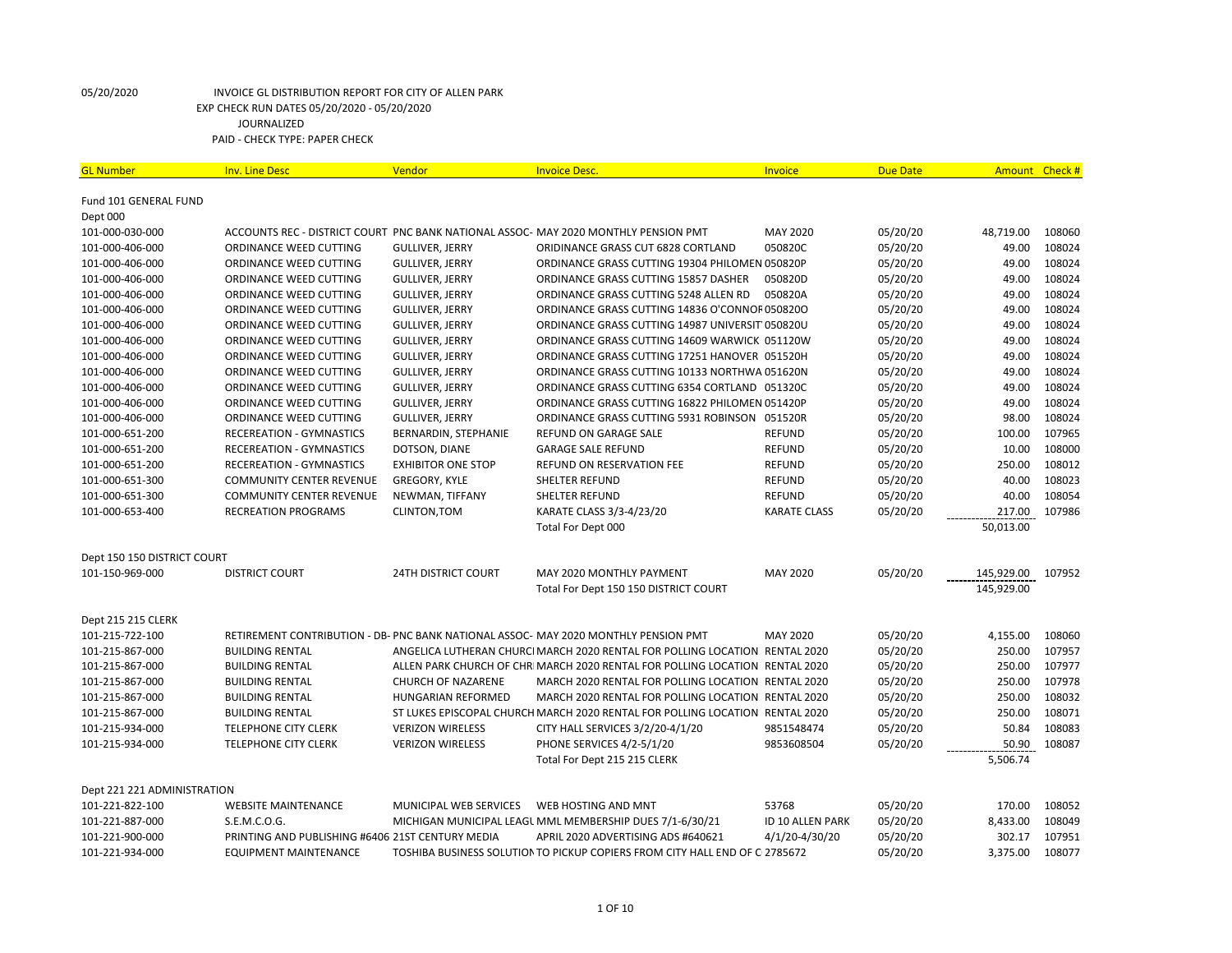| <b>GL Number</b>            | <b>Inv. Line Desc</b>                            | Vendor                     | <b>Invoice Desc.</b>                                                                | <b>Invoice</b>      | <b>Due Date</b> | Amount Check # |        |
|-----------------------------|--------------------------------------------------|----------------------------|-------------------------------------------------------------------------------------|---------------------|-----------------|----------------|--------|
|                             |                                                  |                            |                                                                                     |                     |                 |                |        |
| Fund 101 GENERAL FUND       |                                                  |                            |                                                                                     |                     |                 |                |        |
| Dept 000                    |                                                  |                            |                                                                                     |                     |                 |                |        |
| 101-000-030-000             |                                                  |                            | ACCOUNTS REC - DISTRICT COURT PNC BANK NATIONAL ASSOC- MAY 2020 MONTHLY PENSION PMT | MAY 2020            | 05/20/20        | 48,719.00      | 108060 |
| 101-000-406-000             | ORDINANCE WEED CUTTING                           | <b>GULLIVER, JERRY</b>     | ORIDINANCE GRASS CUT 6828 CORTLAND                                                  | 050820C             | 05/20/20        | 49.00          | 108024 |
| 101-000-406-000             | ORDINANCE WEED CUTTING                           | <b>GULLIVER, JERRY</b>     | ORDINANCE GRASS CUTTING 19304 PHILOMEN 050820P                                      |                     | 05/20/20        | 49.00          | 108024 |
| 101-000-406-000             | ORDINANCE WEED CUTTING                           | GULLIVER, JERRY            | ORDINANCE GRASS CUTTING 15857 DASHER                                                | 050820D             | 05/20/20        | 49.00          | 108024 |
| 101-000-406-000             | ORDINANCE WEED CUTTING                           | GULLIVER, JERRY            | ORDINANCE GRASS CUTTING 5248 ALLEN RD                                               | 050820A             | 05/20/20        | 49.00          | 108024 |
| 101-000-406-000             | ORDINANCE WEED CUTTING                           | <b>GULLIVER, JERRY</b>     | ORDINANCE GRASS CUTTING 14836 O'CONNOF 0508200                                      |                     | 05/20/20        | 49.00          | 108024 |
| 101-000-406-000             | ORDINANCE WEED CUTTING                           | <b>GULLIVER, JERRY</b>     | ORDINANCE GRASS CUTTING 14987 UNIVERSIT 050820U                                     |                     | 05/20/20        | 49.00          | 108024 |
| 101-000-406-000             | ORDINANCE WEED CUTTING                           | GULLIVER, JERRY            | ORDINANCE GRASS CUTTING 14609 WARWICK 051120W                                       |                     | 05/20/20        | 49.00          | 108024 |
| 101-000-406-000             | ORDINANCE WEED CUTTING                           | <b>GULLIVER, JERRY</b>     | ORDINANCE GRASS CUTTING 17251 HANOVER 051520H                                       |                     | 05/20/20        | 49.00          | 108024 |
| 101-000-406-000             | ORDINANCE WEED CUTTING                           | GULLIVER, JERRY            | ORDINANCE GRASS CUTTING 10133 NORTHWA 051620N                                       |                     | 05/20/20        | 49.00          | 108024 |
| 101-000-406-000             | ORDINANCE WEED CUTTING                           | GULLIVER, JERRY            | ORDINANCE GRASS CUTTING 6354 CORTLAND 051320C                                       |                     | 05/20/20        | 49.00          | 108024 |
| 101-000-406-000             | ORDINANCE WEED CUTTING                           | <b>GULLIVER, JERRY</b>     | ORDINANCE GRASS CUTTING 16822 PHILOMEN 051420P                                      |                     | 05/20/20        | 49.00          | 108024 |
| 101-000-406-000             | ORDINANCE WEED CUTTING                           | <b>GULLIVER, JERRY</b>     | ORDINANCE GRASS CUTTING 5931 ROBINSON 051520R                                       |                     | 05/20/20        | 98.00          | 108024 |
| 101-000-651-200             | <b>RECEREATION - GYMNASTICS</b>                  | BERNARDIN, STEPHANIE       | REFUND ON GARAGE SALE                                                               | <b>REFUND</b>       | 05/20/20        | 100.00         | 107965 |
| 101-000-651-200             | <b>RECEREATION - GYMNASTICS</b>                  | DOTSON, DIANE              | <b>GARAGE SALE REFUND</b>                                                           | <b>REFUND</b>       | 05/20/20        | 10.00          | 108000 |
| 101-000-651-200             | <b>RECEREATION - GYMNASTICS</b>                  | <b>EXHIBITOR ONE STOP</b>  | REFUND ON RESERVATION FEE                                                           | <b>REFUND</b>       | 05/20/20        | 250.00         | 108012 |
| 101-000-651-300             | <b>COMMUNITY CENTER REVENUE</b>                  | GREGORY, KYLE              | <b>SHELTER REFUND</b>                                                               | <b>REFUND</b>       | 05/20/20        | 40.00          | 108023 |
| 101-000-651-300             | <b>COMMUNITY CENTER REVENUE</b>                  | NEWMAN, TIFFANY            | <b>SHELTER REFUND</b>                                                               | <b>REFUND</b>       | 05/20/20        | 40.00          | 108054 |
| 101-000-653-400             | <b>RECREATION PROGRAMS</b>                       | CLINTON, TOM               | KARATE CLASS 3/3-4/23/20                                                            | <b>KARATE CLASS</b> | 05/20/20        | 217.00         | 107986 |
|                             |                                                  |                            | Total For Dept 000                                                                  |                     |                 | 50,013.00      |        |
|                             |                                                  |                            |                                                                                     |                     |                 |                |        |
| Dept 150 150 DISTRICT COURT |                                                  |                            |                                                                                     |                     |                 |                |        |
| 101-150-969-000             | <b>DISTRICT COURT</b>                            | <b>24TH DISTRICT COURT</b> | MAY 2020 MONTHLY PAYMENT                                                            | <b>MAY 2020</b>     | 05/20/20        | 145,929.00     | 107952 |
|                             |                                                  |                            | Total For Dept 150 150 DISTRICT COURT                                               |                     |                 | 145,929.00     |        |
|                             |                                                  |                            |                                                                                     |                     |                 |                |        |
| Dept 215 215 CLERK          |                                                  |                            |                                                                                     |                     |                 |                |        |
| 101-215-722-100             |                                                  |                            | RETIREMENT CONTRIBUTION - DB- PNC BANK NATIONAL ASSOC- MAY 2020 MONTHLY PENSION PMT | <b>MAY 2020</b>     | 05/20/20        | 4,155.00       | 108060 |
| 101-215-867-000             | <b>BUILDING RENTAL</b>                           |                            | ANGELICA LUTHERAN CHURCI MARCH 2020 RENTAL FOR POLLING LOCATION RENTAL 2020         |                     | 05/20/20        | 250.00         | 107957 |
| 101-215-867-000             | <b>BUILDING RENTAL</b>                           |                            | ALLEN PARK CHURCH OF CHRI MARCH 2020 RENTAL FOR POLLING LOCATION RENTAL 2020        |                     | 05/20/20        | 250.00         | 107977 |
| 101-215-867-000             | <b>BUILDING RENTAL</b>                           | <b>CHURCH OF NAZARENE</b>  | MARCH 2020 RENTAL FOR POLLING LOCATION RENTAL 2020                                  |                     | 05/20/20        | 250.00         | 107978 |
| 101-215-867-000             | <b>BUILDING RENTAL</b>                           | HUNGARIAN REFORMED         | MARCH 2020 RENTAL FOR POLLING LOCATION RENTAL 2020                                  |                     | 05/20/20        | 250.00         | 108032 |
| 101-215-867-000             | <b>BUILDING RENTAL</b>                           |                            | ST LUKES EPISCOPAL CHURCH MARCH 2020 RENTAL FOR POLLING LOCATION RENTAL 2020        |                     | 05/20/20        | 250.00         | 108071 |
| 101-215-934-000             | <b>TELEPHONE CITY CLERK</b>                      | <b>VERIZON WIRELESS</b>    | CITY HALL SERVICES 3/2/20-4/1/20                                                    | 9851548474          | 05/20/20        | 50.84          | 108083 |
| 101-215-934-000             | <b>TELEPHONE CITY CLERK</b>                      | <b>VERIZON WIRELESS</b>    | PHONE SERVICES 4/2-5/1/20                                                           | 9853608504          | 05/20/20        | 50.90          | 108087 |
|                             |                                                  |                            | Total For Dept 215 215 CLERK                                                        |                     |                 | 5,506.74       |        |
|                             |                                                  |                            |                                                                                     |                     |                 |                |        |
| Dept 221 221 ADMINISTRATION |                                                  |                            |                                                                                     |                     |                 |                |        |
| 101-221-822-100             | <b>WEBSITE MAINTENANCE</b>                       | MUNICIPAL WEB SERVICES     | WEB HOSTING AND MNT                                                                 | 53768               | 05/20/20        | 170.00         | 108052 |
| 101-221-887-000             | S.E.M.C.O.G.                                     |                            | MICHIGAN MUNICIPAL LEAGL MML MEMBERSHIP DUES 7/1-6/30/21                            | ID 10 ALLEN PARK    | 05/20/20        | 8,433.00       | 108049 |
| 101-221-900-000             | PRINTING AND PUBLISHING #6406 21ST CENTURY MEDIA |                            | APRIL 2020 ADVERTISING ADS #640621                                                  | 4/1/20-4/30/20      | 05/20/20        | 302.17         | 107951 |
| 101-221-934-000             | <b>EQUIPMENT MAINTENANCE</b>                     |                            | TOSHIBA BUSINESS SOLUTION TO PICKUP COPIERS FROM CITY HALL END OF C 2785672         |                     | 05/20/20        | 3,375.00       | 108077 |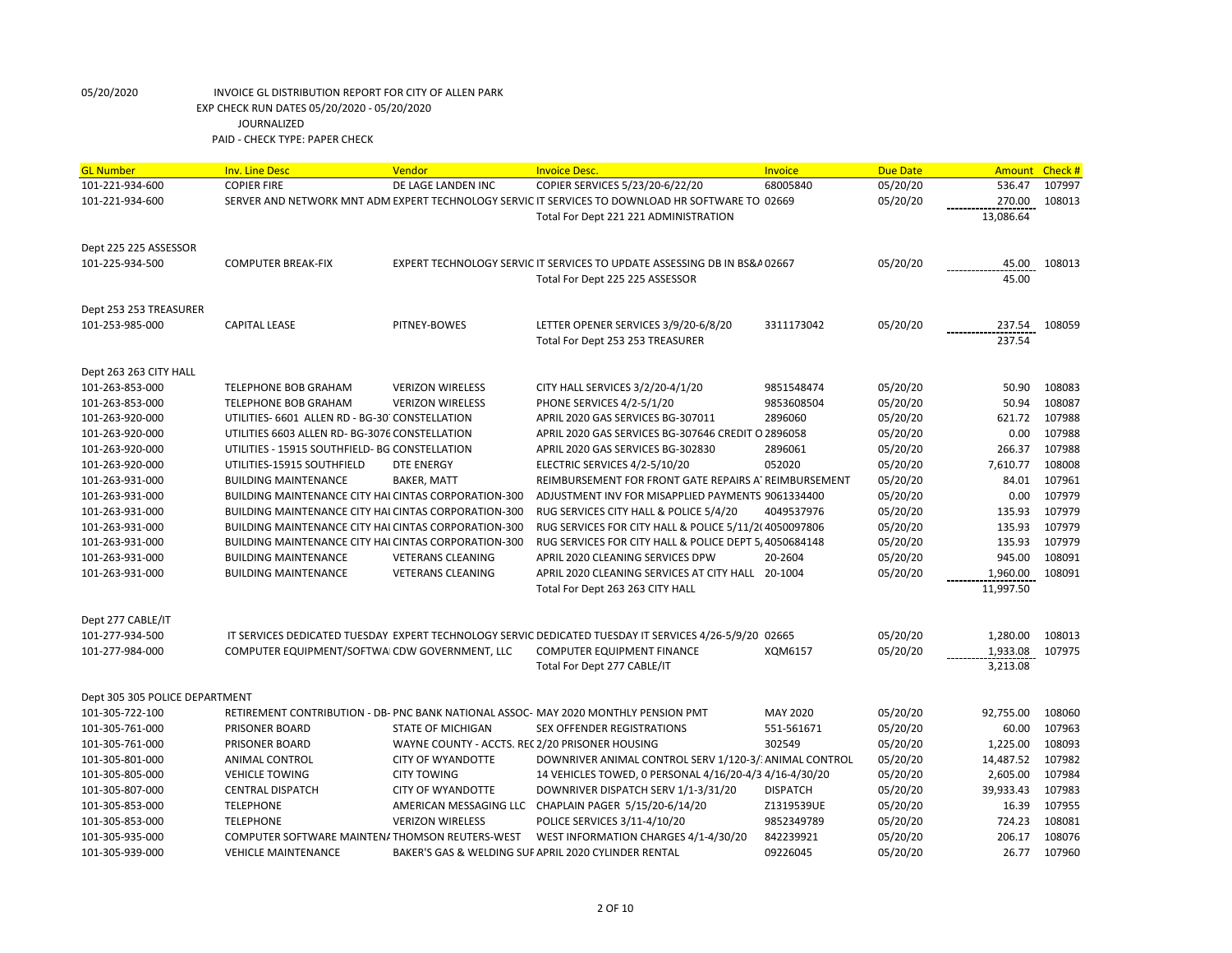| <b>GL Number</b>               | <b>Inv. Line Desc</b>                                       | Vendor                                          | <b>Invoice Desc.</b>                                                                                                                        | Invoice         | <b>Due Date</b> | Amount    | Check #          |
|--------------------------------|-------------------------------------------------------------|-------------------------------------------------|---------------------------------------------------------------------------------------------------------------------------------------------|-----------------|-----------------|-----------|------------------|
| 101-221-934-600                | <b>COPIER FIRE</b>                                          | DE LAGE LANDEN INC                              | COPIER SERVICES 5/23/20-6/22/20                                                                                                             | 68005840        | 05/20/20        | 536.47    | 107997           |
| 101-221-934-600                |                                                             |                                                 | SERVER AND NETWORK MNT ADM EXPERT TECHNOLOGY SERVIC IT SERVICES TO DOWNLOAD HR SOFTWARE TO 02669                                            |                 | 05/20/20        | 270.00    | 108013           |
|                                |                                                             |                                                 | Total For Dept 221 221 ADMINISTRATION                                                                                                       |                 |                 | 13,086.64 |                  |
|                                |                                                             |                                                 |                                                                                                                                             |                 |                 |           |                  |
| Dept 225 225 ASSESSOR          |                                                             |                                                 |                                                                                                                                             |                 |                 |           |                  |
| 101-225-934-500                | <b>COMPUTER BREAK-FIX</b>                                   |                                                 | EXPERT TECHNOLOGY SERVIC IT SERVICES TO UPDATE ASSESSING DB IN BS&A 02667                                                                   |                 | 05/20/20        | 45.00     | 108013           |
|                                |                                                             |                                                 | Total For Dept 225 225 ASSESSOR                                                                                                             |                 |                 | 45.00     |                  |
|                                |                                                             |                                                 |                                                                                                                                             |                 |                 |           |                  |
| Dept 253 253 TREASURER         |                                                             |                                                 |                                                                                                                                             |                 |                 |           |                  |
| 101-253-985-000                | <b>CAPITAL LEASE</b>                                        | PITNEY-BOWES                                    | LETTER OPENER SERVICES 3/9/20-6/8/20                                                                                                        | 3311173042      | 05/20/20        | 237.54    | 108059           |
|                                |                                                             |                                                 | Total For Dept 253 253 TREASURER                                                                                                            |                 |                 | 237.54    |                  |
| Dept 263 263 CITY HALL         |                                                             |                                                 |                                                                                                                                             |                 |                 |           |                  |
| 101-263-853-000                | TELEPHONE BOB GRAHAM                                        | <b>VERIZON WIRELESS</b>                         | CITY HALL SERVICES 3/2/20-4/1/20                                                                                                            | 9851548474      | 05/20/20        | 50.90     | 108083           |
| 101-263-853-000                | <b>TELEPHONE BOB GRAHAM</b>                                 | <b>VERIZON WIRELESS</b>                         | PHONE SERVICES 4/2-5/1/20                                                                                                                   | 9853608504      | 05/20/20        | 50.94     | 108087           |
| 101-263-920-000                | UTILITIES- 6601 ALLEN RD - BG-30 CONSTELLATION              |                                                 | APRIL 2020 GAS SERVICES BG-307011                                                                                                           | 2896060         | 05/20/20        | 621.72    | 107988           |
| 101-263-920-000                | UTILITIES 6603 ALLEN RD- BG-3076 CONSTELLATION              |                                                 | APRIL 2020 GAS SERVICES BG-307646 CREDIT                                                                                                    | O 2896058       | 05/20/20        | 0.00      | 107988           |
| 101-263-920-000                | UTILITIES - 15915 SOUTHFIELD- BG CONSTELLATION              |                                                 | APRIL 2020 GAS SERVICES BG-302830                                                                                                           | 2896061         | 05/20/20        | 266.37    | 107988           |
| 101-263-920-000                | UTILITIES-15915 SOUTHFIELD                                  | <b>DTE ENERGY</b>                               | ELECTRIC SERVICES 4/2-5/10/20                                                                                                               | 052020          | 05/20/20        | 7,610.77  | 108008           |
| 101-263-931-000                | <b>BUILDING MAINTENANCE</b>                                 | <b>BAKER, MATT</b>                              | REIMBURSEMENT FOR FRONT GATE REPAIRS A' REIMBURSEMENT                                                                                       |                 | 05/20/20        | 84.01     | 107961           |
| 101-263-931-000                | <b>BUILDING MAINTENANCE CITY HAI CINTAS CORPORATION-300</b> |                                                 | ADJUSTMENT INV FOR MISAPPLIED PAYMENTS 9061334400                                                                                           |                 | 05/20/20        | 0.00      | 107979           |
| 101-263-931-000                | BUILDING MAINTENANCE CITY HAI CINTAS CORPORATION-300        |                                                 | RUG SERVICES CITY HALL & POLICE 5/4/20                                                                                                      | 4049537976      | 05/20/20        | 135.93    | 107979           |
| 101-263-931-000                | BUILDING MAINTENANCE CITY HAI CINTAS CORPORATION-300        |                                                 | RUG SERVICES FOR CITY HALL & POLICE 5/11/2(4050097806                                                                                       |                 | 05/20/20        | 135.93    | 107979           |
| 101-263-931-000                | BUILDING MAINTENANCE CITY HAI CINTAS CORPORATION-300        |                                                 | RUG SERVICES FOR CITY HALL & POLICE DEPT 5, 4050684148                                                                                      |                 | 05/20/20        | 135.93    | 107979           |
| 101-263-931-000                | <b>BUILDING MAINTENANCE</b>                                 | <b>VETERANS CLEANING</b>                        | APRIL 2020 CLEANING SERVICES DPW                                                                                                            | 20-2604         | 05/20/20        | 945.00    | 108091           |
| 101-263-931-000                | <b>BUILDING MAINTENANCE</b>                                 | <b>VETERANS CLEANING</b>                        | APRIL 2020 CLEANING SERVICES AT CITY HALL 20-1004                                                                                           |                 | 05/20/20        | 1,960.00  | 108091           |
|                                |                                                             |                                                 | Total For Dept 263 263 CITY HALL                                                                                                            |                 |                 | 11,997.50 |                  |
|                                |                                                             |                                                 |                                                                                                                                             |                 |                 |           |                  |
| Dept 277 CABLE/IT              |                                                             |                                                 |                                                                                                                                             |                 |                 |           |                  |
| 101-277-934-500                |                                                             |                                                 | IT SERVICES DEDICATED TUESDAY EXPERT TECHNOLOGY SERVIC DEDICATED TUESDAY IT SERVICES 4/26-5/9/20 02665<br><b>COMPUTER EQUIPMENT FINANCE</b> |                 | 05/20/20        | 1,280.00  | 108013<br>107975 |
| 101-277-984-000                | COMPUTER EQUIPMENT/SOFTWAI CDW GOVERNMENT, LLC              |                                                 |                                                                                                                                             | XQM6157         | 05/20/20        | 1,933.08  |                  |
|                                |                                                             |                                                 | Total For Dept 277 CABLE/IT                                                                                                                 |                 |                 | 3,213.08  |                  |
| Dept 305 305 POLICE DEPARTMENT |                                                             |                                                 |                                                                                                                                             |                 |                 |           |                  |
| 101-305-722-100                |                                                             |                                                 | RETIREMENT CONTRIBUTION - DB- PNC BANK NATIONAL ASSOC- MAY 2020 MONTHLY PENSION PMT                                                         | MAY 2020        | 05/20/20        | 92,755.00 | 108060           |
| 101-305-761-000                | <b>PRISONER BOARD</b>                                       | <b>STATE OF MICHIGAN</b>                        | <b>SEX OFFENDER REGISTRATIONS</b>                                                                                                           | 551-561671      | 05/20/20        | 60.00     | 107963           |
| 101-305-761-000                | <b>PRISONER BOARD</b>                                       | WAYNE COUNTY - ACCTS. REC 2/20 PRISONER HOUSING |                                                                                                                                             | 302549          | 05/20/20        | 1,225.00  | 108093           |
| 101-305-801-000                | ANIMAL CONTROL                                              | <b>CITY OF WYANDOTTE</b>                        | DOWNRIVER ANIMAL CONTROL SERV 1/120-3/ ANIMAL CONTROL                                                                                       |                 | 05/20/20        | 14,487.52 | 107982           |
| 101-305-805-000                | <b>VEHICLE TOWING</b>                                       | <b>CITY TOWING</b>                              | 14 VEHICLES TOWED, 0 PERSONAL 4/16/20-4/3 4/16-4/30/20                                                                                      |                 | 05/20/20        | 2,605.00  | 107984           |
| 101-305-807-000                | <b>CENTRAL DISPATCH</b>                                     | <b>CITY OF WYANDOTTE</b>                        | DOWNRIVER DISPATCH SERV 1/1-3/31/20                                                                                                         | <b>DISPATCH</b> | 05/20/20        | 39,933.43 | 107983           |
| 101-305-853-000                | <b>TELEPHONE</b>                                            |                                                 | AMERICAN MESSAGING LLC CHAPLAIN PAGER 5/15/20-6/14/20                                                                                       | Z1319539UE      | 05/20/20        | 16.39     | 107955           |
| 101-305-853-000                | <b>TELEPHONE</b>                                            | <b>VERIZON WIRELESS</b>                         | POLICE SERVICES 3/11-4/10/20                                                                                                                | 9852349789      | 05/20/20        | 724.23    | 108081           |
| 101-305-935-000                | COMPUTER SOFTWARE MAINTENATHOMSON REUTERS-WEST              |                                                 | WEST INFORMATION CHARGES 4/1-4/30/20                                                                                                        | 842239921       | 05/20/20        | 206.17    | 108076           |
| 101-305-939-000                | <b>VEHICLE MAINTENANCE</b>                                  |                                                 | BAKER'S GAS & WELDING SUF APRIL 2020 CYLINDER RENTAL                                                                                        | 09226045        | 05/20/20        | 26.77     | 107960           |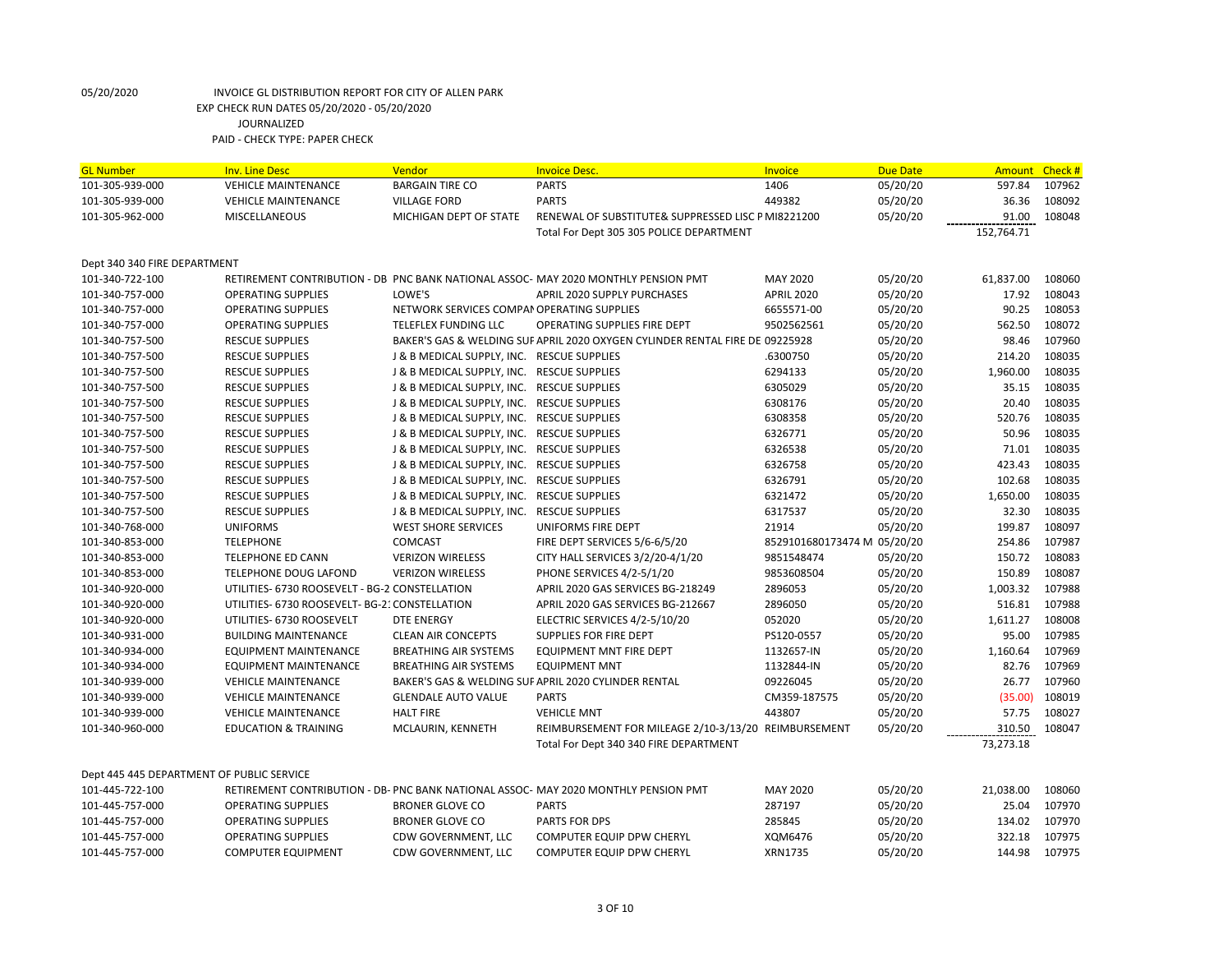| <b>GL Number</b>                          | <b>Inv. Line Desc</b>                          | Vendor                                     | <b>Invoice Desc.</b>                                                                | Invoice                     | <b>Due Date</b> | Amount     | Check # |
|-------------------------------------------|------------------------------------------------|--------------------------------------------|-------------------------------------------------------------------------------------|-----------------------------|-----------------|------------|---------|
| 101-305-939-000                           | <b>VEHICLE MAINTENANCE</b>                     | <b>BARGAIN TIRE CO</b>                     | <b>PARTS</b>                                                                        | 1406                        | 05/20/20        | 597.84     | 107962  |
| 101-305-939-000                           | <b>VEHICLE MAINTENANCE</b>                     | <b>VILLAGE FORD</b>                        | <b>PARTS</b>                                                                        | 449382                      | 05/20/20        | 36.36      | 108092  |
| 101-305-962-000                           | MISCELLANEOUS                                  | MICHIGAN DEPT OF STATE                     | RENEWAL OF SUBSTITUTE& SUPPRESSED LISC P MI8221200                                  |                             | 05/20/20        | 91.00      | 108048  |
|                                           |                                                |                                            | Total For Dept 305 305 POLICE DEPARTMENT                                            |                             |                 | 152,764.71 |         |
|                                           |                                                |                                            |                                                                                     |                             |                 |            |         |
| Dept 340 340 FIRE DEPARTMENT              |                                                |                                            |                                                                                     |                             |                 |            |         |
| 101-340-722-100                           |                                                |                                            | RETIREMENT CONTRIBUTION - DB PNC BANK NATIONAL ASSOC- MAY 2020 MONTHLY PENSION PMT  | <b>MAY 2020</b>             | 05/20/20        | 61,837.00  | 108060  |
| 101-340-757-000                           | <b>OPERATING SUPPLIES</b>                      | LOWE'S                                     | <b>APRIL 2020 SUPPLY PURCHASES</b>                                                  | <b>APRIL 2020</b>           | 05/20/20        | 17.92      | 108043  |
| 101-340-757-000                           | <b>OPERATING SUPPLIES</b>                      | NETWORK SERVICES COMPAI OPERATING SUPPLIES |                                                                                     | 6655571-00                  | 05/20/20        | 90.25      | 108053  |
| 101-340-757-000                           | <b>OPERATING SUPPLIES</b>                      | TELEFLEX FUNDING LLC                       | <b>OPERATING SUPPLIES FIRE DEPT</b>                                                 | 9502562561                  | 05/20/20        | 562.50     | 108072  |
| 101-340-757-500                           | <b>RESCUE SUPPLIES</b>                         |                                            | BAKER'S GAS & WELDING SUF APRIL 2020 OXYGEN CYLINDER RENTAL FIRE DE 09225928        |                             | 05/20/20        | 98.46      | 107960  |
| 101-340-757-500                           | <b>RESCUE SUPPLIES</b>                         | J & B MEDICAL SUPPLY, INC. RESCUE SUPPLIES |                                                                                     | .6300750                    | 05/20/20        | 214.20     | 108035  |
| 101-340-757-500                           | <b>RESCUE SUPPLIES</b>                         | J & B MEDICAL SUPPLY, INC. RESCUE SUPPLIES |                                                                                     | 6294133                     | 05/20/20        | 1,960.00   | 108035  |
| 101-340-757-500                           | <b>RESCUE SUPPLIES</b>                         | J & B MEDICAL SUPPLY, INC. RESCUE SUPPLIES |                                                                                     | 6305029                     | 05/20/20        | 35.15      | 108035  |
| 101-340-757-500                           | <b>RESCUE SUPPLIES</b>                         | J & B MEDICAL SUPPLY, INC. RESCUE SUPPLIES |                                                                                     | 6308176                     | 05/20/20        | 20.40      | 108035  |
| 101-340-757-500                           | <b>RESCUE SUPPLIES</b>                         | J & B MEDICAL SUPPLY, INC.                 | <b>RESCUE SUPPLIES</b>                                                              | 6308358                     | 05/20/20        | 520.76     | 108035  |
| 101-340-757-500                           | <b>RESCUE SUPPLIES</b>                         | J & B MEDICAL SUPPLY, INC. RESCUE SUPPLIES |                                                                                     | 6326771                     | 05/20/20        | 50.96      | 108035  |
| 101-340-757-500                           | <b>RESCUE SUPPLIES</b>                         | J & B MEDICAL SUPPLY, INC. RESCUE SUPPLIES |                                                                                     | 6326538                     | 05/20/20        | 71.01      | 108035  |
| 101-340-757-500                           | <b>RESCUE SUPPLIES</b>                         | J & B MEDICAL SUPPLY, INC.                 | <b>RESCUE SUPPLIES</b>                                                              | 6326758                     | 05/20/20        | 423.43     | 108035  |
| 101-340-757-500                           | <b>RESCUE SUPPLIES</b>                         | J & B MEDICAL SUPPLY, INC. RESCUE SUPPLIES |                                                                                     | 6326791                     | 05/20/20        | 102.68     | 108035  |
| 101-340-757-500                           | <b>RESCUE SUPPLIES</b>                         | J & B MEDICAL SUPPLY, INC. RESCUE SUPPLIES |                                                                                     | 6321472                     | 05/20/20        | 1,650.00   | 108035  |
| 101-340-757-500                           | <b>RESCUE SUPPLIES</b>                         | J & B MEDICAL SUPPLY, INC.                 | <b>RESCUE SUPPLIES</b>                                                              | 6317537                     | 05/20/20        | 32.30      | 108035  |
| 101-340-768-000                           | <b>UNIFORMS</b>                                | <b>WEST SHORE SERVICES</b>                 | UNIFORMS FIRE DEPT                                                                  | 21914                       | 05/20/20        | 199.87     | 108097  |
| 101-340-853-000                           | <b>TELEPHONE</b>                               | <b>COMCAST</b>                             | FIRE DEPT SERVICES 5/6-6/5/20                                                       | 8529101680173474 M 05/20/20 |                 | 254.86     | 107987  |
| 101-340-853-000                           | <b>TELEPHONE ED CANN</b>                       | <b>VERIZON WIRELESS</b>                    | CITY HALL SERVICES 3/2/20-4/1/20                                                    | 9851548474                  | 05/20/20        | 150.72     | 108083  |
| 101-340-853-000                           | <b>TELEPHONE DOUG LAFOND</b>                   | <b>VERIZON WIRELESS</b>                    | PHONE SERVICES 4/2-5/1/20                                                           | 9853608504                  | 05/20/20        | 150.89     | 108087  |
| 101-340-920-000                           | UTILITIES- 6730 ROOSEVELT - BG-2 CONSTELLATION |                                            | APRIL 2020 GAS SERVICES BG-218249                                                   | 2896053                     | 05/20/20        | 1,003.32   | 107988  |
| 101-340-920-000                           | UTILITIES- 6730 ROOSEVELT- BG-21 CONSTELLATION |                                            | APRIL 2020 GAS SERVICES BG-212667                                                   | 2896050                     | 05/20/20        | 516.81     | 107988  |
| 101-340-920-000                           | UTILITIES- 6730 ROOSEVELT                      | <b>DTE ENERGY</b>                          | ELECTRIC SERVICES 4/2-5/10/20                                                       | 052020                      | 05/20/20        | 1,611.27   | 108008  |
| 101-340-931-000                           | <b>BUILDING MAINTENANCE</b>                    | <b>CLEAN AIR CONCEPTS</b>                  | SUPPLIES FOR FIRE DEPT                                                              | PS120-0557                  | 05/20/20        | 95.00      | 107985  |
| 101-340-934-000                           | EQUIPMENT MAINTENANCE                          | <b>BREATHING AIR SYSTEMS</b>               | EQUIPMENT MNT FIRE DEPT                                                             | 1132657-IN                  | 05/20/20        | 1,160.64   | 107969  |
| 101-340-934-000                           | <b>EQUIPMENT MAINTENANCE</b>                   | <b>BREATHING AIR SYSTEMS</b>               | <b>EQUIPMENT MNT</b>                                                                | 1132844-IN                  | 05/20/20        | 82.76      | 107969  |
| 101-340-939-000                           | <b>VEHICLE MAINTENANCE</b>                     |                                            | BAKER'S GAS & WELDING SUF APRIL 2020 CYLINDER RENTAL                                | 09226045                    | 05/20/20        | 26.77      | 107960  |
| 101-340-939-000                           | <b>VEHICLE MAINTENANCE</b>                     | <b>GLENDALE AUTO VALUE</b>                 | <b>PARTS</b>                                                                        | CM359-187575                | 05/20/20        | (35.00)    | 108019  |
| 101-340-939-000                           | <b>VEHICLE MAINTENANCE</b>                     | <b>HALT FIRE</b>                           | <b>VEHICLE MNT</b>                                                                  | 443807                      | 05/20/20        | 57.75      | 108027  |
| 101-340-960-000                           | <b>EDUCATION &amp; TRAINING</b>                | MCLAURIN, KENNETH                          | REIMBURSEMENT FOR MILEAGE 2/10-3/13/20 REIMBURSEMENT                                |                             | 05/20/20        | 310.50     | 108047  |
|                                           |                                                |                                            | Total For Dept 340 340 FIRE DEPARTMENT                                              |                             |                 | 73,273.18  |         |
|                                           |                                                |                                            |                                                                                     |                             |                 |            |         |
| Dept 445 445 DEPARTMENT OF PUBLIC SERVICE |                                                |                                            |                                                                                     |                             |                 |            |         |
| 101-445-722-100                           |                                                |                                            | RETIREMENT CONTRIBUTION - DB- PNC BANK NATIONAL ASSOC- MAY 2020 MONTHLY PENSION PMT | <b>MAY 2020</b>             | 05/20/20        | 21,038.00  | 108060  |
| 101-445-757-000                           | <b>OPERATING SUPPLIES</b>                      | <b>BRONER GLOVE CO</b>                     | <b>PARTS</b>                                                                        | 287197                      | 05/20/20        | 25.04      | 107970  |
| 101-445-757-000                           | <b>OPERATING SUPPLIES</b>                      | <b>BRONER GLOVE CO</b>                     | <b>PARTS FOR DPS</b>                                                                | 285845                      | 05/20/20        | 134.02     | 107970  |
| 101-445-757-000                           | <b>OPERATING SUPPLIES</b>                      | CDW GOVERNMENT, LLC                        | COMPUTER EQUIP DPW CHERYL                                                           | XQM6476                     | 05/20/20        | 322.18     | 107975  |
| 101-445-757-000                           | <b>COMPUTER EQUIPMENT</b>                      | CDW GOVERNMENT, LLC                        | <b>COMPUTER EQUIP DPW CHERYL</b>                                                    | XRN1735                     | 05/20/20        | 144.98     | 107975  |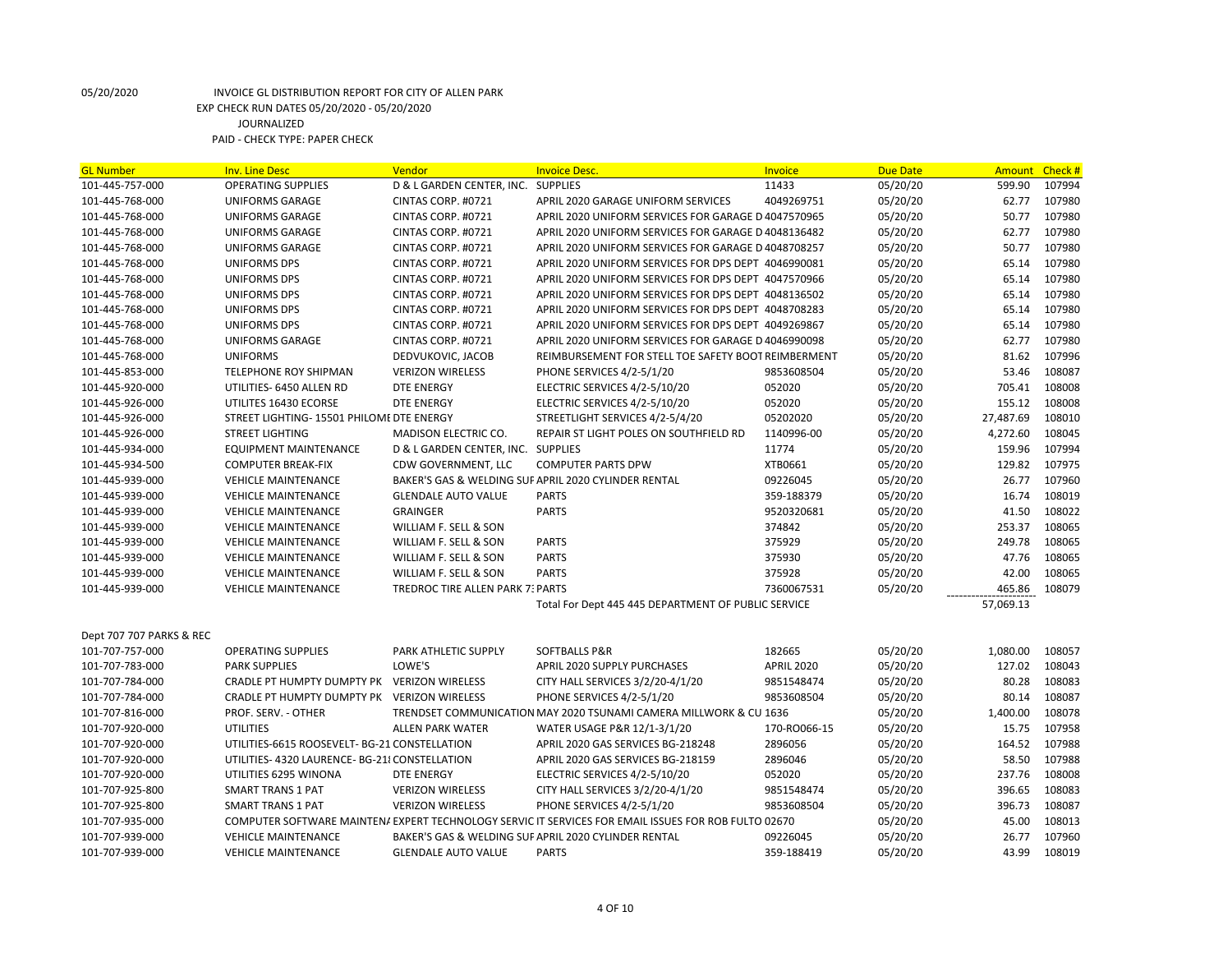| <b>GL Number</b>         | <b>Inv. Line Desc</b>                          | <b>Vendor</b>                      | <b>Invoice Desc.</b>                                                                                 | <b>Invoice</b>    | <b>Due Date</b> | Amount    | Check # |
|--------------------------|------------------------------------------------|------------------------------------|------------------------------------------------------------------------------------------------------|-------------------|-----------------|-----------|---------|
| 101-445-757-000          | <b>OPERATING SUPPLIES</b>                      | D & L GARDEN CENTER, INC.          | <b>SUPPLIES</b>                                                                                      | 11433             | 05/20/20        | 599.90    | 107994  |
| 101-445-768-000          | <b>UNIFORMS GARAGE</b>                         | CINTAS CORP. #0721                 | APRIL 2020 GARAGE UNIFORM SERVICES                                                                   | 4049269751        | 05/20/20        | 62.77     | 107980  |
| 101-445-768-000          | UNIFORMS GARAGE                                | CINTAS CORP. #0721                 | APRIL 2020 UNIFORM SERVICES FOR GARAGE D 4047570965                                                  |                   | 05/20/20        | 50.77     | 107980  |
| 101-445-768-000          | <b>UNIFORMS GARAGE</b>                         | CINTAS CORP. #0721                 | APRIL 2020 UNIFORM SERVICES FOR GARAGE D 4048136482                                                  |                   | 05/20/20        | 62.77     | 107980  |
| 101-445-768-000          | UNIFORMS GARAGE                                | CINTAS CORP. #0721                 | APRIL 2020 UNIFORM SERVICES FOR GARAGE D 4048708257                                                  |                   | 05/20/20        | 50.77     | 107980  |
| 101-445-768-000          | UNIFORMS DPS                                   | CINTAS CORP. #0721                 | APRIL 2020 UNIFORM SERVICES FOR DPS DEPT 4046990081                                                  |                   | 05/20/20        | 65.14     | 107980  |
| 101-445-768-000          | <b>UNIFORMS DPS</b>                            | CINTAS CORP. #0721                 | APRIL 2020 UNIFORM SERVICES FOR DPS DEPT 4047570966                                                  |                   | 05/20/20        | 65.14     | 107980  |
| 101-445-768-000          | <b>UNIFORMS DPS</b>                            | CINTAS CORP. #0721                 | APRIL 2020 UNIFORM SERVICES FOR DPS DEPT 4048136502                                                  |                   | 05/20/20        | 65.14     | 107980  |
| 101-445-768-000          | UNIFORMS DPS                                   | CINTAS CORP. #0721                 | APRIL 2020 UNIFORM SERVICES FOR DPS DEPT 4048708283                                                  |                   | 05/20/20        | 65.14     | 107980  |
| 101-445-768-000          | <b>UNIFORMS DPS</b>                            | CINTAS CORP. #0721                 | APRIL 2020 UNIFORM SERVICES FOR DPS DEPT 4049269867                                                  |                   | 05/20/20        | 65.14     | 107980  |
| 101-445-768-000          | <b>UNIFORMS GARAGE</b>                         | CINTAS CORP. #0721                 | APRIL 2020 UNIFORM SERVICES FOR GARAGE D 4046990098                                                  |                   | 05/20/20        | 62.77     | 107980  |
| 101-445-768-000          | <b>UNIFORMS</b>                                | DEDVUKOVIC, JACOB                  | REIMBURSEMENT FOR STELL TOE SAFETY BOOT REIMBERMENT                                                  |                   | 05/20/20        | 81.62     | 107996  |
| 101-445-853-000          | TELEPHONE ROY SHIPMAN                          | <b>VERIZON WIRELESS</b>            | PHONE SERVICES 4/2-5/1/20                                                                            | 9853608504        | 05/20/20        | 53.46     | 108087  |
| 101-445-920-000          | UTILITIES- 6450 ALLEN RD                       | <b>DTE ENERGY</b>                  | ELECTRIC SERVICES 4/2-5/10/20                                                                        | 052020            | 05/20/20        | 705.41    | 108008  |
| 101-445-926-000          | UTILITES 16430 ECORSE                          | <b>DTE ENERGY</b>                  | ELECTRIC SERVICES 4/2-5/10/20                                                                        | 052020            | 05/20/20        | 155.12    | 108008  |
| 101-445-926-000          | STREET LIGHTING-15501 PHILOME DTE ENERGY       |                                    | STREETLIGHT SERVICES 4/2-5/4/20                                                                      | 05202020          | 05/20/20        | 27,487.69 | 108010  |
| 101-445-926-000          | <b>STREET LIGHTING</b>                         | MADISON ELECTRIC CO.               | REPAIR ST LIGHT POLES ON SOUTHFIELD RD                                                               | 1140996-00        | 05/20/20        | 4,272.60  | 108045  |
| 101-445-934-000          | <b>EQUIPMENT MAINTENANCE</b>                   | D & L GARDEN CENTER, INC. SUPPLIES |                                                                                                      | 11774             | 05/20/20        | 159.96    | 107994  |
| 101-445-934-500          | <b>COMPUTER BREAK-FIX</b>                      | CDW GOVERNMENT, LLC                | <b>COMPUTER PARTS DPW</b>                                                                            | XTB0661           | 05/20/20        | 129.82    | 107975  |
| 101-445-939-000          | <b>VEHICLE MAINTENANCE</b>                     |                                    | BAKER'S GAS & WELDING SUF APRIL 2020 CYLINDER RENTAL                                                 | 09226045          | 05/20/20        | 26.77     | 107960  |
| 101-445-939-000          | <b>VEHICLE MAINTENANCE</b>                     | <b>GLENDALE AUTO VALUE</b>         | <b>PARTS</b>                                                                                         | 359-188379        | 05/20/20        | 16.74     | 108019  |
| 101-445-939-000          | <b>VEHICLE MAINTENANCE</b>                     | <b>GRAINGER</b>                    | <b>PARTS</b>                                                                                         | 9520320681        | 05/20/20        | 41.50     | 108022  |
| 101-445-939-000          | <b>VEHICLE MAINTENANCE</b>                     | WILLIAM F. SELL & SON              |                                                                                                      | 374842            | 05/20/20        | 253.37    | 108065  |
| 101-445-939-000          | <b>VEHICLE MAINTENANCE</b>                     | WILLIAM F. SELL & SON              | <b>PARTS</b>                                                                                         | 375929            | 05/20/20        | 249.78    | 108065  |
| 101-445-939-000          | <b>VEHICLE MAINTENANCE</b>                     | WILLIAM F. SELL & SON              | <b>PARTS</b>                                                                                         | 375930            | 05/20/20        | 47.76     | 108065  |
| 101-445-939-000          | <b>VEHICLE MAINTENANCE</b>                     | WILLIAM F. SELL & SON              | <b>PARTS</b>                                                                                         | 375928            | 05/20/20        | 42.00     | 108065  |
| 101-445-939-000          | <b>VEHICLE MAINTENANCE</b>                     | TREDROC TIRE ALLEN PARK 7: PARTS   |                                                                                                      | 7360067531        | 05/20/20        | 465.86    | 108079  |
|                          |                                                |                                    | Total For Dept 445 445 DEPARTMENT OF PUBLIC SERVICE                                                  |                   |                 | 57,069.13 |         |
| Dept 707 707 PARKS & REC |                                                |                                    |                                                                                                      |                   |                 |           |         |
| 101-707-757-000          | <b>OPERATING SUPPLIES</b>                      | PARK ATHLETIC SUPPLY               | <b>SOFTBALLS P&amp;R</b>                                                                             | 182665            | 05/20/20        | 1,080.00  | 108057  |
| 101-707-783-000          | <b>PARK SUPPLIES</b>                           | LOWE'S                             | APRIL 2020 SUPPLY PURCHASES                                                                          | <b>APRIL 2020</b> | 05/20/20        | 127.02    | 108043  |
| 101-707-784-000          | CRADLE PT HUMPTY DUMPTY PK VERIZON WIRELESS    |                                    | CITY HALL SERVICES 3/2/20-4/1/20                                                                     | 9851548474        | 05/20/20        | 80.28     | 108083  |
| 101-707-784-000          | CRADLE PT HUMPTY DUMPTY PK VERIZON WIRELESS    |                                    | PHONE SERVICES 4/2-5/1/20                                                                            | 9853608504        | 05/20/20        | 80.14     | 108087  |
| 101-707-816-000          | PROF. SERV. - OTHER                            |                                    | TRENDSET COMMUNICATION MAY 2020 TSUNAMI CAMERA MILLWORK & CU 1636                                    |                   | 05/20/20        | 1,400.00  | 108078  |
| 101-707-920-000          | <b>UTILITIES</b>                               | <b>ALLEN PARK WATER</b>            | WATER USAGE P&R 12/1-3/1/20                                                                          | 170-RO066-15      | 05/20/20        | 15.75     | 107958  |
| 101-707-920-000          | UTILITIES-6615 ROOSEVELT- BG-21 CONSTELLATION  |                                    | APRIL 2020 GAS SERVICES BG-218248                                                                    | 2896056           | 05/20/20        | 164.52    | 107988  |
| 101-707-920-000          | UTILITIES- 4320 LAURENCE- BG-21 {CONSTELLATION |                                    | APRIL 2020 GAS SERVICES BG-218159                                                                    | 2896046           | 05/20/20        | 58.50     | 107988  |
| 101-707-920-000          | UTILITIES 6295 WINONA                          | <b>DTE ENERGY</b>                  | ELECTRIC SERVICES 4/2-5/10/20                                                                        | 052020            | 05/20/20        | 237.76    | 108008  |
| 101-707-925-800          | <b>SMART TRANS 1 PAT</b>                       | <b>VERIZON WIRELESS</b>            | CITY HALL SERVICES 3/2/20-4/1/20                                                                     | 9851548474        | 05/20/20        | 396.65    | 108083  |
| 101-707-925-800          | <b>SMART TRANS 1 PAT</b>                       | <b>VERIZON WIRELESS</b>            | PHONE SERVICES 4/2-5/1/20                                                                            | 9853608504        | 05/20/20        | 396.73    | 108087  |
| 101-707-935-000          |                                                |                                    | COMPUTER SOFTWARE MAINTEN/ EXPERT TECHNOLOGY SERVIC IT SERVICES FOR EMAIL ISSUES FOR ROB FULTO 02670 |                   | 05/20/20        | 45.00     | 108013  |
| 101-707-939-000          | <b>VEHICLE MAINTENANCE</b>                     |                                    | BAKER'S GAS & WELDING SUF APRIL 2020 CYLINDER RENTAL                                                 | 09226045          | 05/20/20        | 26.77     | 107960  |
| 101-707-939-000          | <b>VEHICLE MAINTENANCE</b>                     | <b>GLENDALE AUTO VALUE</b>         | <b>PARTS</b>                                                                                         | 359-188419        | 05/20/20        | 43.99     | 108019  |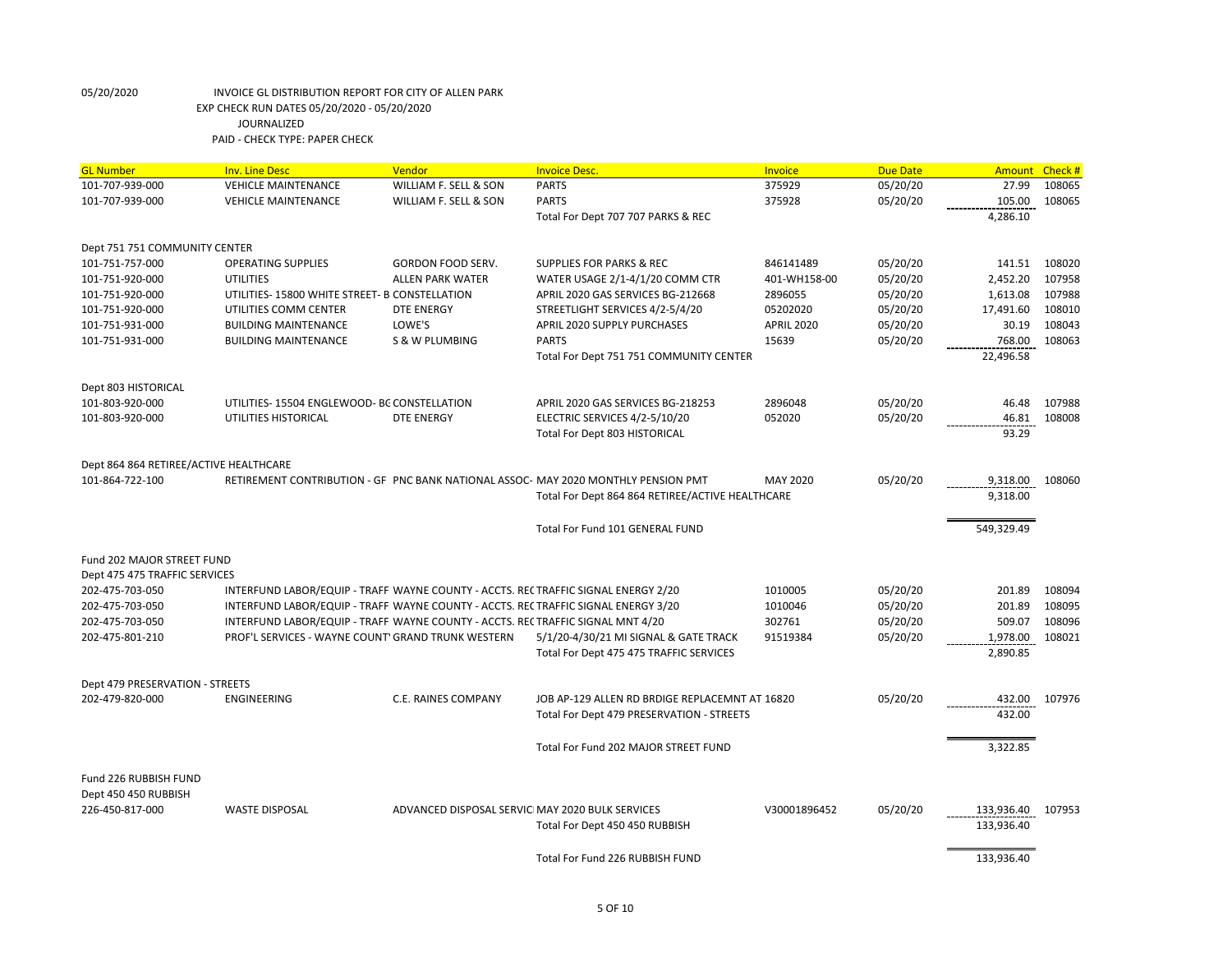| <b>GL Number</b>                                                                                        | <b>Inv. Line Desc</b>                                                              | Vendor                                           | <b>Invoice Desc.</b>                             | <b>Invoice</b>    | <b>Due Date</b> | Amount Check #    |        |
|---------------------------------------------------------------------------------------------------------|------------------------------------------------------------------------------------|--------------------------------------------------|--------------------------------------------------|-------------------|-----------------|-------------------|--------|
| 101-707-939-000                                                                                         | <b>VEHICLE MAINTENANCE</b>                                                         | WILLIAM F. SELL & SON                            | <b>PARTS</b>                                     | 375929            | 05/20/20        | 27.99             | 108065 |
| 101-707-939-000                                                                                         | <b>VEHICLE MAINTENANCE</b>                                                         | WILLIAM F. SELL & SON                            | <b>PARTS</b>                                     | 375928            | 05/20/20        | 105.00            | 108065 |
|                                                                                                         |                                                                                    |                                                  | Total For Dept 707 707 PARKS & REC               |                   |                 | 4,286.10          |        |
| Dept 751 751 COMMUNITY CENTER                                                                           |                                                                                    |                                                  |                                                  |                   |                 |                   |        |
| 101-751-757-000                                                                                         | <b>OPERATING SUPPLIES</b>                                                          | <b>GORDON FOOD SERV.</b>                         | <b>SUPPLIES FOR PARKS &amp; REC</b>              | 846141489         | 05/20/20        | 141.51            | 108020 |
| 101-751-920-000                                                                                         | <b>UTILITIES</b>                                                                   | <b>ALLEN PARK WATER</b>                          | WATER USAGE 2/1-4/1/20 COMM CTR                  | 401-WH158-00      | 05/20/20        | 2,452.20          | 107958 |
| 101-751-920-000                                                                                         | UTILITIES-15800 WHITE STREET- B CONSTELLATION                                      |                                                  | APRIL 2020 GAS SERVICES BG-212668                | 2896055           | 05/20/20        | 1,613.08          | 107988 |
| 101-751-920-000                                                                                         | UTILITIES COMM CENTER                                                              | <b>DTE ENERGY</b>                                | STREETLIGHT SERVICES 4/2-5/4/20                  | 05202020          | 05/20/20        | 17,491.60         | 108010 |
| 101-751-931-000                                                                                         | <b>BUILDING MAINTENANCE</b>                                                        | LOWE'S                                           | APRIL 2020 SUPPLY PURCHASES                      | <b>APRIL 2020</b> | 05/20/20        | 30.19             | 108043 |
| 101-751-931-000                                                                                         | <b>BUILDING MAINTENANCE</b>                                                        | <b>S &amp; W PLUMBING</b>                        | <b>PARTS</b>                                     | 15639             | 05/20/20        | 768.00            | 108063 |
|                                                                                                         |                                                                                    |                                                  | Total For Dept 751 751 COMMUNITY CENTER          |                   |                 | 22,496.58         |        |
| Dept 803 HISTORICAL                                                                                     |                                                                                    |                                                  |                                                  |                   |                 |                   |        |
| 101-803-920-000                                                                                         | UTILITIES-15504 ENGLEWOOD-BC CONSTELLATION                                         |                                                  | APRIL 2020 GAS SERVICES BG-218253                | 2896048           | 05/20/20        | 46.48             | 107988 |
| 101-803-920-000                                                                                         | UTILITIES HISTORICAL                                                               | <b>DTE ENERGY</b>                                | ELECTRIC SERVICES 4/2-5/10/20                    | 052020            | 05/20/20        | 46.81             | 108008 |
|                                                                                                         |                                                                                    |                                                  | Total For Dept 803 HISTORICAL                    |                   |                 | 93.29             |        |
| Dept 864 864 RETIREE/ACTIVE HEALTHCARE                                                                  |                                                                                    |                                                  |                                                  |                   |                 |                   |        |
| 101-864-722-100<br>RETIREMENT CONTRIBUTION - GF   PNC BANK NATIONAL ASSOC- MAY 2020 MONTHLY PENSION PMT |                                                                                    |                                                  |                                                  | MAY 2020          | 05/20/20        | 9,318.00          | 108060 |
|                                                                                                         |                                                                                    |                                                  | Total For Dept 864 864 RETIREE/ACTIVE HEALTHCARE |                   |                 | 9,318.00          |        |
|                                                                                                         |                                                                                    |                                                  | Total For Fund 101 GENERAL FUND                  |                   |                 | 549,329.49        |        |
| Fund 202 MAJOR STREET FUND                                                                              |                                                                                    |                                                  |                                                  |                   |                 |                   |        |
| Dept 475 475 TRAFFIC SERVICES                                                                           |                                                                                    |                                                  |                                                  |                   |                 |                   |        |
| 202-475-703-050                                                                                         | INTERFUND LABOR/EQUIP - TRAFFI WAYNE COUNTY - ACCTS. RECTRAFFIC SIGNAL ENERGY 2/20 |                                                  |                                                  | 1010005           | 05/20/20        | 201.89            | 108094 |
| 202-475-703-050                                                                                         | INTERFUND LABOR/EQUIP - TRAFFI WAYNE COUNTY - ACCTS. RECTRAFFIC SIGNAL ENERGY 3/20 |                                                  |                                                  | 1010046           | 05/20/20        | 201.89            | 108095 |
| 202-475-703-050                                                                                         | INTERFUND LABOR/EQUIP - TRAFFI WAYNE COUNTY - ACCTS. RECTRAFFIC SIGNAL MNT 4/20    |                                                  |                                                  | 302761            | 05/20/20        | 509.07            | 108096 |
| 202-475-801-210                                                                                         | PROF'L SERVICES - WAYNE COUNT' GRAND TRUNK WESTERN                                 |                                                  | 5/1/20-4/30/21 MI SIGNAL & GATE TRACK            | 91519384          | 05/20/20        | 1,978.00          | 108021 |
|                                                                                                         |                                                                                    |                                                  | Total For Dept 475 475 TRAFFIC SERVICES          |                   |                 | 2,890.85          |        |
| Dept 479 PRESERVATION - STREETS                                                                         |                                                                                    |                                                  |                                                  |                   |                 |                   |        |
| 202-479-820-000                                                                                         | <b>ENGINEERING</b>                                                                 | C.E. RAINES COMPANY                              | JOB AP-129 ALLEN RD BRDIGE REPLACEMNT AT 16820   |                   | 05/20/20        | 432.00            | 107976 |
|                                                                                                         |                                                                                    |                                                  | Total For Dept 479 PRESERVATION - STREETS        |                   |                 | 432.00            |        |
|                                                                                                         |                                                                                    |                                                  | Total For Fund 202 MAJOR STREET FUND             |                   |                 | 3,322.85          |        |
| Fund 226 RUBBISH FUND                                                                                   |                                                                                    |                                                  |                                                  |                   |                 |                   |        |
| Dept 450 450 RUBBISH                                                                                    |                                                                                    |                                                  |                                                  |                   |                 |                   |        |
| 226-450-817-000                                                                                         | <b>WASTE DISPOSAL</b>                                                              | ADVANCED DISPOSAL SERVICI MAY 2020 BULK SERVICES |                                                  | V30001896452      | 05/20/20        | 133,936.40 107953 |        |
|                                                                                                         |                                                                                    |                                                  | Total For Dept 450 450 RUBBISH                   |                   |                 | 133,936.40        |        |
|                                                                                                         |                                                                                    |                                                  | Total For Fund 226 RUBBISH FUND                  |                   |                 | 133,936.40        |        |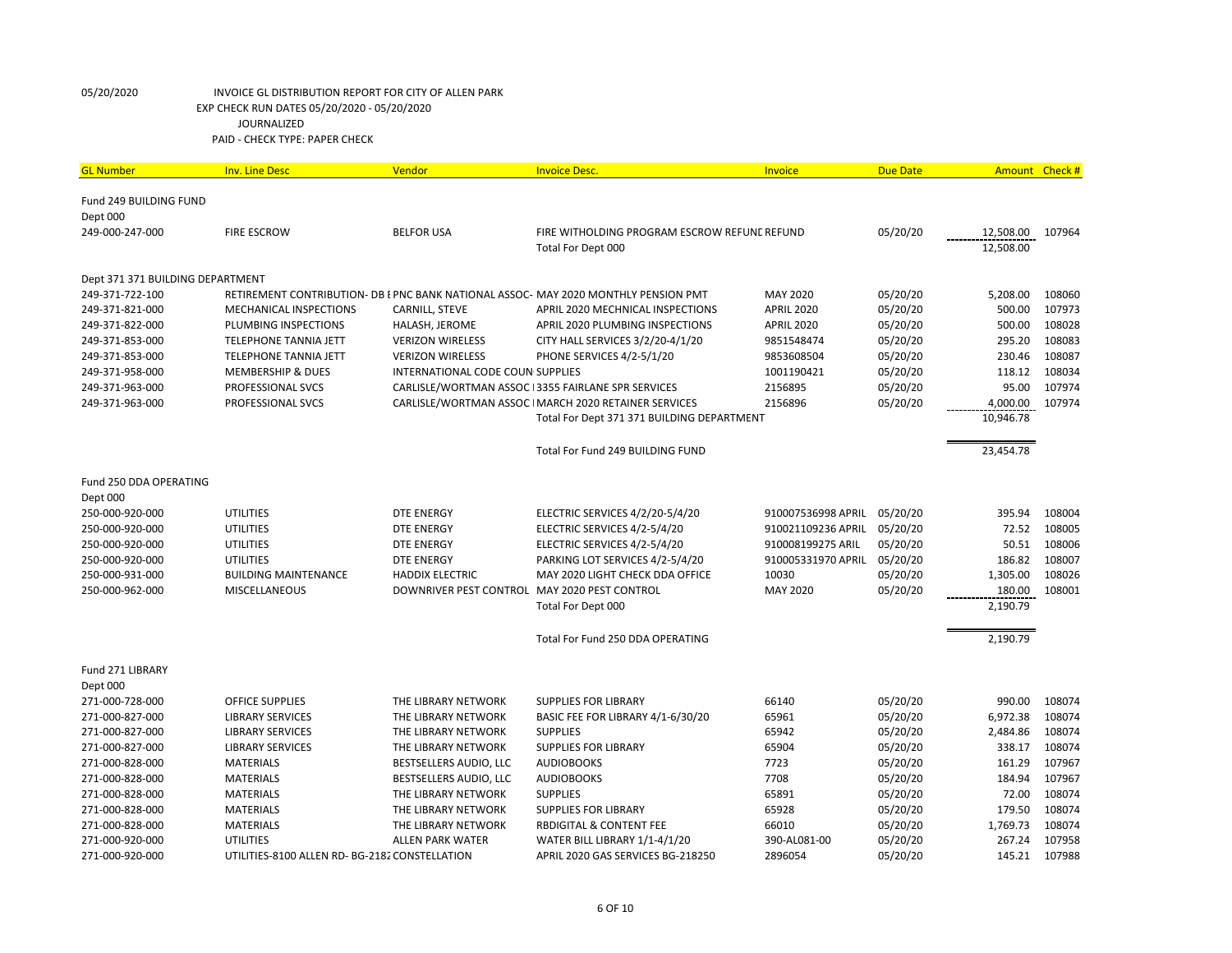| <b>GL Number</b>                 | <b>Inv. Line Desc</b>                          | Vendor                                       | <b>Invoice Desc.</b>                                                               | Invoice            | <b>Due Date</b> | <b>Amount</b> | Check # |
|----------------------------------|------------------------------------------------|----------------------------------------------|------------------------------------------------------------------------------------|--------------------|-----------------|---------------|---------|
| Fund 249 BUILDING FUND           |                                                |                                              |                                                                                    |                    |                 |               |         |
| Dept 000                         |                                                |                                              |                                                                                    |                    |                 |               |         |
| 249-000-247-000                  | <b>FIRE ESCROW</b>                             | <b>BELFOR USA</b>                            | FIRE WITHOLDING PROGRAM ESCROW REFUNE REFUND                                       |                    | 05/20/20        | 12,508.00     | 107964  |
|                                  |                                                |                                              | Total For Dept 000                                                                 |                    |                 | 12,508.00     |         |
|                                  |                                                |                                              |                                                                                    |                    |                 |               |         |
| Dept 371 371 BUILDING DEPARTMENT |                                                |                                              |                                                                                    |                    |                 |               |         |
| 249-371-722-100                  |                                                |                                              | RETIREMENT CONTRIBUTION- DB EPNC BANK NATIONAL ASSOC- MAY 2020 MONTHLY PENSION PMT | MAY 2020           | 05/20/20        | 5,208.00      | 108060  |
| 249-371-821-000                  | <b>MECHANICAL INSPECTIONS</b>                  | CARNILL, STEVE                               | APRIL 2020 MECHNICAL INSPECTIONS                                                   | <b>APRIL 2020</b>  | 05/20/20        | 500.00        | 107973  |
| 249-371-822-000                  | PLUMBING INSPECTIONS                           | HALASH, JEROME                               | APRIL 2020 PLUMBING INSPECTIONS                                                    | <b>APRIL 2020</b>  | 05/20/20        | 500.00        | 108028  |
| 249-371-853-000                  | <b>TELEPHONE TANNIA JETT</b>                   | <b>VERIZON WIRELESS</b>                      | CITY HALL SERVICES 3/2/20-4/1/20                                                   | 9851548474         | 05/20/20        | 295.20        | 108083  |
| 249-371-853-000                  | TELEPHONE TANNIA JETT                          | <b>VERIZON WIRELESS</b>                      | PHONE SERVICES 4/2-5/1/20                                                          | 9853608504         | 05/20/20        | 230.46        | 108087  |
| 249-371-958-000                  | <b>MEMBERSHIP &amp; DUES</b>                   | INTERNATIONAL CODE COUN SUPPLIES             |                                                                                    | 1001190421         | 05/20/20        | 118.12        | 108034  |
| 249-371-963-000                  | PROFESSIONAL SVCS                              |                                              | CARLISLE/WORTMAN ASSOC 13355 FAIRLANE SPR SERVICES                                 | 2156895            | 05/20/20        | 95.00         | 107974  |
| 249-371-963-000                  | PROFESSIONAL SVCS                              |                                              | CARLISLE/WORTMAN ASSOC IMARCH 2020 RETAINER SERVICES                               | 2156896            | 05/20/20        | 4,000.00      | 107974  |
|                                  |                                                |                                              | Total For Dept 371 371 BUILDING DEPARTMENT                                         |                    |                 | 10,946.78     |         |
|                                  |                                                |                                              |                                                                                    |                    |                 |               |         |
|                                  |                                                |                                              | Total For Fund 249 BUILDING FUND                                                   |                    |                 | 23,454.78     |         |
|                                  |                                                |                                              |                                                                                    |                    |                 |               |         |
| Fund 250 DDA OPERATING           |                                                |                                              |                                                                                    |                    |                 |               |         |
| Dept 000                         |                                                |                                              |                                                                                    |                    |                 |               |         |
| 250-000-920-000                  | <b>UTILITIES</b>                               | <b>DTE ENERGY</b>                            | ELECTRIC SERVICES 4/2/20-5/4/20                                                    | 910007536998 APRIL | 05/20/20        | 395.94        | 108004  |
| 250-000-920-000                  | <b>UTILITIES</b>                               | <b>DTE ENERGY</b>                            | ELECTRIC SERVICES 4/2-5/4/20                                                       | 910021109236 APRIL | 05/20/20        | 72.52         | 108005  |
| 250-000-920-000                  | <b>UTILITIES</b>                               | <b>DTE ENERGY</b>                            | ELECTRIC SERVICES 4/2-5/4/20                                                       | 910008199275 ARIL  | 05/20/20        | 50.51         | 108006  |
| 250-000-920-000                  | <b>UTILITIES</b>                               | <b>DTE ENERGY</b>                            | PARKING LOT SERVICES 4/2-5/4/20                                                    | 910005331970 APRIL | 05/20/20        | 186.82        | 108007  |
| 250-000-931-000                  | <b>BUILDING MAINTENANCE</b>                    | <b>HADDIX ELECTRIC</b>                       | MAY 2020 LIGHT CHECK DDA OFFICE                                                    | 10030              | 05/20/20        | 1,305.00      | 108026  |
| 250-000-962-000                  | <b>MISCELLANEOUS</b>                           | DOWNRIVER PEST CONTROL MAY 2020 PEST CONTROL |                                                                                    | MAY 2020           | 05/20/20        | 180.00        | 108001  |
|                                  |                                                |                                              | Total For Dept 000                                                                 |                    |                 | 2,190.79      |         |
|                                  |                                                |                                              |                                                                                    |                    |                 |               |         |
|                                  |                                                |                                              | Total For Fund 250 DDA OPERATING                                                   |                    |                 | 2,190.79      |         |
|                                  |                                                |                                              |                                                                                    |                    |                 |               |         |
| Fund 271 LIBRARY                 |                                                |                                              |                                                                                    |                    |                 |               |         |
| Dept 000                         |                                                |                                              |                                                                                    |                    |                 |               |         |
| 271-000-728-000                  | <b>OFFICE SUPPLIES</b>                         | THE LIBRARY NETWORK                          | <b>SUPPLIES FOR LIBRARY</b>                                                        | 66140              | 05/20/20        | 990.00        | 108074  |
| 271-000-827-000                  | <b>LIBRARY SERVICES</b>                        | THE LIBRARY NETWORK                          | BASIC FEE FOR LIBRARY 4/1-6/30/20                                                  | 65961              | 05/20/20        | 6,972.38      | 108074  |
| 271-000-827-000                  | <b>LIBRARY SERVICES</b>                        | THE LIBRARY NETWORK                          | <b>SUPPLIES</b>                                                                    | 65942              | 05/20/20        | 2,484.86      | 108074  |
| 271-000-827-000                  | <b>LIBRARY SERVICES</b>                        | THE LIBRARY NETWORK                          | <b>SUPPLIES FOR LIBRARY</b>                                                        | 65904              | 05/20/20        | 338.17        | 108074  |
| 271-000-828-000                  | <b>MATERIALS</b>                               | BESTSELLERS AUDIO, LLC                       | <b>AUDIOBOOKS</b>                                                                  | 7723               | 05/20/20        | 161.29        | 107967  |
| 271-000-828-000                  | <b>MATERIALS</b>                               | BESTSELLERS AUDIO, LLC                       | <b>AUDIOBOOKS</b>                                                                  | 7708               | 05/20/20        | 184.94        | 107967  |
| 271-000-828-000                  | <b>MATERIALS</b>                               | THE LIBRARY NETWORK                          | <b>SUPPLIES</b>                                                                    | 65891              | 05/20/20        | 72.00         | 108074  |
| 271-000-828-000                  | <b>MATERIALS</b>                               | THE LIBRARY NETWORK                          | <b>SUPPLIES FOR LIBRARY</b>                                                        | 65928              | 05/20/20        | 179.50        | 108074  |
| 271-000-828-000                  | <b>MATERIALS</b>                               | THE LIBRARY NETWORK                          | <b>RBDIGITAL &amp; CONTENT FEE</b>                                                 | 66010              | 05/20/20        | 1,769.73      | 108074  |
| 271-000-920-000                  | <b>UTILITIES</b>                               | <b>ALLEN PARK WATER</b>                      | WATER BILL LIBRARY 1/1-4/1/20                                                      | 390-AL081-00       | 05/20/20        | 267.24        | 107958  |
| 271-000-920-000                  | UTILITIES-8100 ALLEN RD- BG-2182 CONSTELLATION |                                              | APRIL 2020 GAS SERVICES BG-218250                                                  | 2896054            | 05/20/20        | 145.21        | 107988  |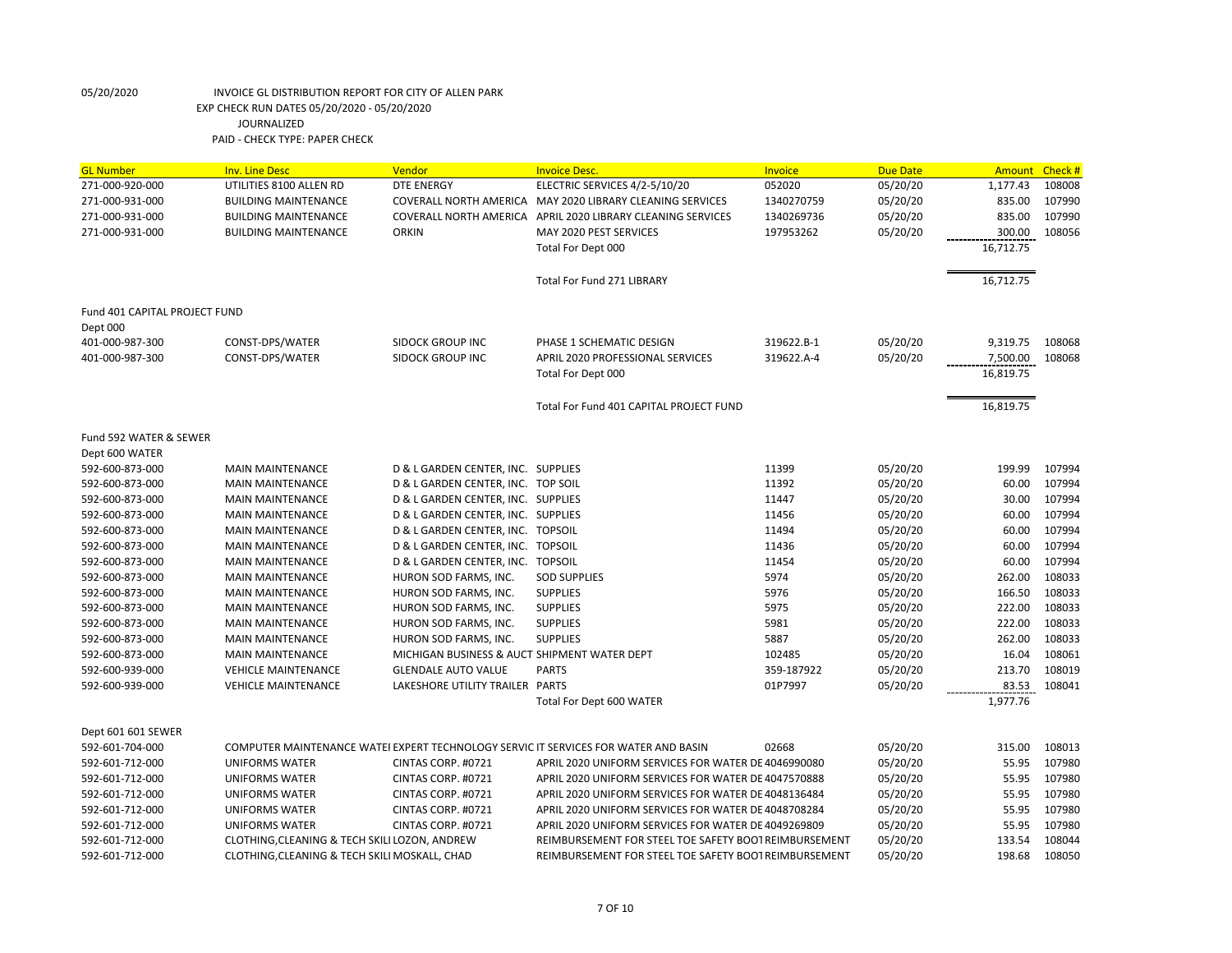| <b>GL Number</b>              | <b>Inv. Line Desc</b>                         | Vendor                                       | <b>Invoice Desc.</b>                                                                | Invoice    | <b>Due Date</b> | <b>Amount</b> | Check # |
|-------------------------------|-----------------------------------------------|----------------------------------------------|-------------------------------------------------------------------------------------|------------|-----------------|---------------|---------|
| 271-000-920-000               | UTILITIES 8100 ALLEN RD                       | <b>DTE ENERGY</b>                            | ELECTRIC SERVICES 4/2-5/10/20                                                       | 052020     | 05/20/20        | 1,177.43      | 108008  |
| 271-000-931-000               | <b>BUILDING MAINTENANCE</b>                   | COVERALL NORTH AMERICA                       | MAY 2020 LIBRARY CLEANING SERVICES                                                  | 1340270759 | 05/20/20        | 835.00        | 107990  |
| 271-000-931-000               | <b>BUILDING MAINTENANCE</b>                   |                                              | COVERALL NORTH AMERICA APRIL 2020 LIBRARY CLEANING SERVICES                         | 1340269736 | 05/20/20        | 835.00        | 107990  |
| 271-000-931-000               | <b>BUILDING MAINTENANCE</b>                   | <b>ORKIN</b>                                 | MAY 2020 PEST SERVICES                                                              | 197953262  | 05/20/20        | 300.00        | 108056  |
|                               |                                               |                                              | Total For Dept 000                                                                  |            |                 | 16,712.75     |         |
|                               |                                               |                                              |                                                                                     |            |                 |               |         |
|                               |                                               |                                              | <b>Total For Fund 271 LIBRARY</b>                                                   |            |                 | 16,712.75     |         |
| Fund 401 CAPITAL PROJECT FUND |                                               |                                              |                                                                                     |            |                 |               |         |
| Dept 000                      |                                               |                                              |                                                                                     |            |                 |               |         |
| 401-000-987-300               | CONST-DPS/WATER                               | <b>SIDOCK GROUP INC</b>                      | PHASE 1 SCHEMATIC DESIGN                                                            | 319622.B-1 | 05/20/20        | 9,319.75      | 108068  |
| 401-000-987-300               | CONST-DPS/WATER                               | <b>SIDOCK GROUP INC</b>                      | APRIL 2020 PROFESSIONAL SERVICES                                                    | 319622.A-4 | 05/20/20        | 7,500.00      | 108068  |
|                               |                                               |                                              | Total For Dept 000                                                                  |            |                 | 16,819.75     |         |
|                               |                                               |                                              | Total For Fund 401 CAPITAL PROJECT FUND                                             |            |                 | 16,819.75     |         |
| Fund 592 WATER & SEWER        |                                               |                                              |                                                                                     |            |                 |               |         |
| Dept 600 WATER                |                                               |                                              |                                                                                     |            |                 |               |         |
| 592-600-873-000               | <b>MAIN MAINTENANCE</b>                       | D & L GARDEN CENTER, INC. SUPPLIES           |                                                                                     | 11399      | 05/20/20        | 199.99        | 107994  |
| 592-600-873-000               | <b>MAIN MAINTENANCE</b>                       | D & L GARDEN CENTER, INC. TOP SOIL           |                                                                                     | 11392      | 05/20/20        | 60.00         | 107994  |
| 592-600-873-000               | <b>MAIN MAINTENANCE</b>                       | D & L GARDEN CENTER, INC. SUPPLIES           |                                                                                     | 11447      | 05/20/20        | 30.00         | 107994  |
| 592-600-873-000               | <b>MAIN MAINTENANCE</b>                       | D & L GARDEN CENTER, INC. SUPPLIES           |                                                                                     | 11456      | 05/20/20        | 60.00         | 107994  |
| 592-600-873-000               | <b>MAIN MAINTENANCE</b>                       | D & L GARDEN CENTER, INC. TOPSOIL            |                                                                                     | 11494      | 05/20/20        | 60.00         | 107994  |
| 592-600-873-000               | <b>MAIN MAINTENANCE</b>                       | D & L GARDEN CENTER, INC. TOPSOIL            |                                                                                     | 11436      | 05/20/20        | 60.00         | 107994  |
| 592-600-873-000               | <b>MAIN MAINTENANCE</b>                       | D & L GARDEN CENTER, INC. TOPSOIL            |                                                                                     | 11454      | 05/20/20        | 60.00         | 107994  |
| 592-600-873-000               | <b>MAIN MAINTENANCE</b>                       | HURON SOD FARMS, INC.                        | <b>SOD SUPPLIES</b>                                                                 | 5974       | 05/20/20        | 262.00        | 108033  |
| 592-600-873-000               | <b>MAIN MAINTENANCE</b>                       | HURON SOD FARMS, INC.                        | <b>SUPPLIES</b>                                                                     | 5976       | 05/20/20        | 166.50        | 108033  |
| 592-600-873-000               | <b>MAIN MAINTENANCE</b>                       | HURON SOD FARMS, INC.                        | <b>SUPPLIES</b>                                                                     | 5975       | 05/20/20        | 222.00        | 108033  |
| 592-600-873-000               | <b>MAIN MAINTENANCE</b>                       | HURON SOD FARMS, INC.                        | <b>SUPPLIES</b>                                                                     | 5981       | 05/20/20        | 222.00        | 108033  |
| 592-600-873-000               | <b>MAIN MAINTENANCE</b>                       | HURON SOD FARMS, INC.                        | <b>SUPPLIES</b>                                                                     | 5887       | 05/20/20        | 262.00        | 108033  |
| 592-600-873-000               | <b>MAIN MAINTENANCE</b>                       | MICHIGAN BUSINESS & AUCT SHIPMENT WATER DEPT |                                                                                     | 102485     | 05/20/20        | 16.04         | 108061  |
| 592-600-939-000               | <b>VEHICLE MAINTENANCE</b>                    | <b>GLENDALE AUTO VALUE</b>                   | <b>PARTS</b>                                                                        | 359-187922 | 05/20/20        | 213.70        | 108019  |
| 592-600-939-000               | <b>VEHICLE MAINTENANCE</b>                    | LAKESHORE UTILITY TRAILER PARTS              |                                                                                     | 01P7997    | 05/20/20        | 83.53         | 108041  |
|                               |                                               |                                              | Total For Dept 600 WATER                                                            |            |                 | 1,977.76      |         |
| Dept 601 601 SEWER            |                                               |                                              |                                                                                     |            |                 |               |         |
| 592-601-704-000               |                                               |                                              | COMPUTER MAINTENANCE WATEI EXPERT TECHNOLOGY SERVIC IT SERVICES FOR WATER AND BASIN | 02668      | 05/20/20        | 315.00        | 108013  |
| 592-601-712-000               | <b>UNIFORMS WATER</b>                         | CINTAS CORP. #0721                           | APRIL 2020 UNIFORM SERVICES FOR WATER DE 4046990080                                 |            | 05/20/20        | 55.95         | 107980  |
| 592-601-712-000               | <b>UNIFORMS WATER</b>                         | CINTAS CORP. #0721                           | APRIL 2020 UNIFORM SERVICES FOR WATER DE 4047570888                                 |            | 05/20/20        | 55.95         | 107980  |
| 592-601-712-000               | <b>UNIFORMS WATER</b>                         | CINTAS CORP. #0721                           | APRIL 2020 UNIFORM SERVICES FOR WATER DE 4048136484                                 |            | 05/20/20        | 55.95         | 107980  |
| 592-601-712-000               | <b>UNIFORMS WATER</b>                         | CINTAS CORP. #0721                           | APRIL 2020 UNIFORM SERVICES FOR WATER DE 4048708284                                 |            | 05/20/20        | 55.95         | 107980  |
| 592-601-712-000               | <b>UNIFORMS WATER</b>                         | CINTAS CORP. #0721                           | APRIL 2020 UNIFORM SERVICES FOR WATER DE 4049269809                                 |            | 05/20/20        | 55.95         | 107980  |
| 592-601-712-000               | CLOTHING, CLEANING & TECH SKILI LOZON, ANDREW |                                              | REIMBURSEMENT FOR STEEL TOE SAFETY BOOT REIMBURSEMENT                               |            | 05/20/20        | 133.54        | 108044  |
| 592-601-712-000               | CLOTHING, CLEANING & TECH SKILI MOSKALL, CHAD |                                              | REIMBURSEMENT FOR STEEL TOE SAFETY BOOT REIMBURSEMENT                               |            | 05/20/20        | 198.68        | 108050  |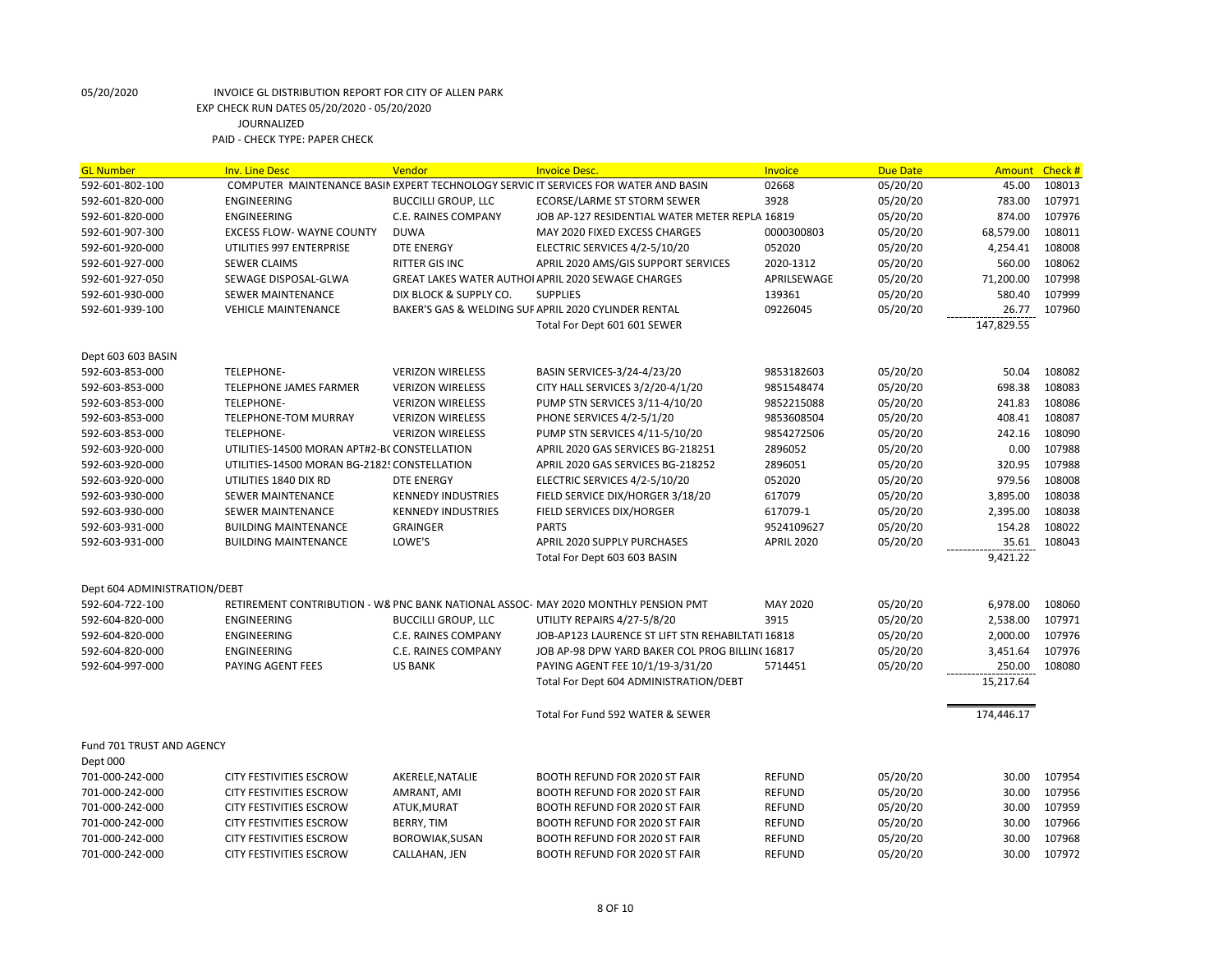| <b>GL Number</b>             | <b>Inv. Line Desc</b>                        | Vendor                     | <b>Invoice Desc.</b>                                                                | Invoice           | <b>Due Date</b> | <b>Amount</b> | Check # |
|------------------------------|----------------------------------------------|----------------------------|-------------------------------------------------------------------------------------|-------------------|-----------------|---------------|---------|
| 592-601-802-100              |                                              |                            | COMPUTER MAINTENANCE BASIN EXPERT TECHNOLOGY SERVIC IT SERVICES FOR WATER AND BASIN | 02668             | 05/20/20        | 45.00         | 108013  |
| 592-601-820-000              | <b>ENGINEERING</b>                           | <b>BUCCILLI GROUP, LLC</b> | ECORSE/LARME ST STORM SEWER                                                         | 3928              | 05/20/20        | 783.00        | 107971  |
| 592-601-820-000              | <b>ENGINEERING</b>                           | C.E. RAINES COMPANY        | JOB AP-127 RESIDENTIAL WATER METER REPLA 16819                                      |                   | 05/20/20        | 874.00        | 107976  |
| 592-601-907-300              | <b>EXCESS FLOW- WAYNE COUNTY</b>             | <b>DUWA</b>                | MAY 2020 FIXED EXCESS CHARGES                                                       | 0000300803        | 05/20/20        | 68,579.00     | 108011  |
| 592-601-920-000              | UTILITIES 997 ENTERPRISE                     | <b>DTE ENERGY</b>          | ELECTRIC SERVICES 4/2-5/10/20                                                       | 052020            | 05/20/20        | 4,254.41      | 108008  |
| 592-601-927-000              | <b>SEWER CLAIMS</b>                          | RITTER GIS INC             | APRIL 2020 AMS/GIS SUPPORT SERVICES                                                 | 2020-1312         | 05/20/20        | 560.00        | 108062  |
| 592-601-927-050              | SEWAGE DISPOSAL-GLWA                         |                            | GREAT LAKES WATER AUTHOI APRIL 2020 SEWAGE CHARGES                                  | APRILSEWAGE       | 05/20/20        | 71,200.00     | 107998  |
| 592-601-930-000              | <b>SEWER MAINTENANCE</b>                     | DIX BLOCK & SUPPLY CO.     | <b>SUPPLIES</b>                                                                     | 139361            | 05/20/20        | 580.40        | 107999  |
| 592-601-939-100              | <b>VEHICLE MAINTENANCE</b>                   |                            | BAKER'S GAS & WELDING SUF APRIL 2020 CYLINDER RENTAL                                | 09226045          | 05/20/20        | 26.77         | 107960  |
|                              |                                              |                            | Total For Dept 601 601 SEWER                                                        |                   |                 | 147,829.55    |         |
| Dept 603 603 BASIN           |                                              |                            |                                                                                     |                   |                 |               |         |
| 592-603-853-000              | <b>TELEPHONE-</b>                            | <b>VERIZON WIRELESS</b>    | BASIN SERVICES-3/24-4/23/20                                                         | 9853182603        | 05/20/20        | 50.04         | 108082  |
| 592-603-853-000              | <b>TELEPHONE JAMES FARMER</b>                | <b>VERIZON WIRELESS</b>    | CITY HALL SERVICES 3/2/20-4/1/20                                                    | 9851548474        | 05/20/20        | 698.38        | 108083  |
| 592-603-853-000              | <b>TELEPHONE-</b>                            | <b>VERIZON WIRELESS</b>    | PUMP STN SERVICES 3/11-4/10/20                                                      | 9852215088        | 05/20/20        | 241.83        | 108086  |
| 592-603-853-000              | TELEPHONE-TOM MURRAY                         | <b>VERIZON WIRELESS</b>    | PHONE SERVICES 4/2-5/1/20                                                           | 9853608504        | 05/20/20        | 408.41        | 108087  |
| 592-603-853-000              | <b>TELEPHONE-</b>                            | <b>VERIZON WIRELESS</b>    | PUMP STN SERVICES 4/11-5/10/20                                                      | 9854272506        | 05/20/20        | 242.16        | 108090  |
| 592-603-920-000              | UTILITIES-14500 MORAN APT#2-BCCONSTELLATION  |                            | APRIL 2020 GAS SERVICES BG-218251                                                   | 2896052           | 05/20/20        | 0.00          | 107988  |
| 592-603-920-000              | UTILITIES-14500 MORAN BG-2182! CONSTELLATION |                            | APRIL 2020 GAS SERVICES BG-218252                                                   | 2896051           | 05/20/20        | 320.95        | 107988  |
| 592-603-920-000              | UTILITIES 1840 DIX RD                        | <b>DTE ENERGY</b>          | ELECTRIC SERVICES 4/2-5/10/20                                                       | 052020            | 05/20/20        | 979.56        | 108008  |
| 592-603-930-000              | <b>SEWER MAINTENANCE</b>                     | <b>KENNEDY INDUSTRIES</b>  | FIELD SERVICE DIX/HORGER 3/18/20                                                    | 617079            | 05/20/20        | 3,895.00      | 108038  |
| 592-603-930-000              | <b>SEWER MAINTENANCE</b>                     | <b>KENNEDY INDUSTRIES</b>  | FIELD SERVICES DIX/HORGER                                                           | 617079-1          | 05/20/20        | 2,395.00      | 108038  |
| 592-603-931-000              | <b>BUILDING MAINTENANCE</b>                  | <b>GRAINGER</b>            | <b>PARTS</b>                                                                        | 9524109627        | 05/20/20        | 154.28        | 108022  |
| 592-603-931-000              | <b>BUILDING MAINTENANCE</b>                  | LOWE'S                     | APRIL 2020 SUPPLY PURCHASES                                                         | <b>APRIL 2020</b> | 05/20/20        | 35.61         | 108043  |
|                              |                                              |                            | Total For Dept 603 603 BASIN                                                        |                   |                 | 9,421.22      |         |
| Dept 604 ADMINISTRATION/DEBT |                                              |                            |                                                                                     |                   |                 |               |         |
| 592-604-722-100              |                                              |                            | RETIREMENT CONTRIBUTION - W& PNC BANK NATIONAL ASSOC- MAY 2020 MONTHLY PENSION PMT  | <b>MAY 2020</b>   | 05/20/20        | 6,978.00      | 108060  |
| 592-604-820-000              | <b>ENGINEERING</b>                           | <b>BUCCILLI GROUP, LLC</b> | UTILITY REPAIRS 4/27-5/8/20                                                         | 3915              | 05/20/20        | 2,538.00      | 107971  |
| 592-604-820-000              | ENGINEERING                                  | C.E. RAINES COMPANY        | JOB-AP123 LAURENCE ST LIFT STN REHABILTATI 16818                                    |                   | 05/20/20        | 2,000.00      | 107976  |
| 592-604-820-000              | ENGINEERING                                  | C.E. RAINES COMPANY        | JOB AP-98 DPW YARD BAKER COL PROG BILLIN(16817                                      |                   | 05/20/20        | 3,451.64      | 107976  |
| 592-604-997-000              | PAYING AGENT FEES                            | <b>US BANK</b>             | PAYING AGENT FEE 10/1/19-3/31/20                                                    | 5714451           | 05/20/20        | 250.00        | 108080  |
|                              |                                              |                            | Total For Dept 604 ADMINISTRATION/DEBT                                              |                   |                 | 15,217.64     |         |
|                              |                                              |                            | Total For Fund 592 WATER & SEWER                                                    |                   |                 | 174,446.17    |         |
| Fund 701 TRUST AND AGENCY    |                                              |                            |                                                                                     |                   |                 |               |         |
| Dept 000                     |                                              |                            |                                                                                     |                   |                 |               |         |
| 701-000-242-000              | <b>CITY FESTIVITIES ESCROW</b>               | AKERELE, NATALIE           | <b>BOOTH REFUND FOR 2020 ST FAIR</b>                                                | <b>REFUND</b>     | 05/20/20        | 30.00         | 107954  |
| 701-000-242-000              | <b>CITY FESTIVITIES ESCROW</b>               | AMRANT, AMI                | <b>BOOTH REFUND FOR 2020 ST FAIR</b>                                                | <b>REFUND</b>     | 05/20/20        | 30.00         | 107956  |
| 701-000-242-000              | <b>CITY FESTIVITIES ESCROW</b>               | ATUK, MURAT                | BOOTH REFUND FOR 2020 ST FAIR                                                       | <b>REFUND</b>     | 05/20/20        | 30.00         | 107959  |
| 701-000-242-000              | <b>CITY FESTIVITIES ESCROW</b>               | BERRY, TIM                 | <b>BOOTH REFUND FOR 2020 ST FAIR</b>                                                | <b>REFUND</b>     | 05/20/20        | 30.00         | 107966  |
| 701-000-242-000              | <b>CITY FESTIVITIES ESCROW</b>               | BOROWIAK, SUSAN            | <b>BOOTH REFUND FOR 2020 ST FAIR</b>                                                | <b>REFUND</b>     | 05/20/20        | 30.00         | 107968  |
| 701-000-242-000              | <b>CITY FESTIVITIES ESCROW</b>               | CALLAHAN, JEN              | <b>BOOTH REFUND FOR 2020 ST FAIR</b>                                                | <b>REFUND</b>     | 05/20/20        | 30.00         | 107972  |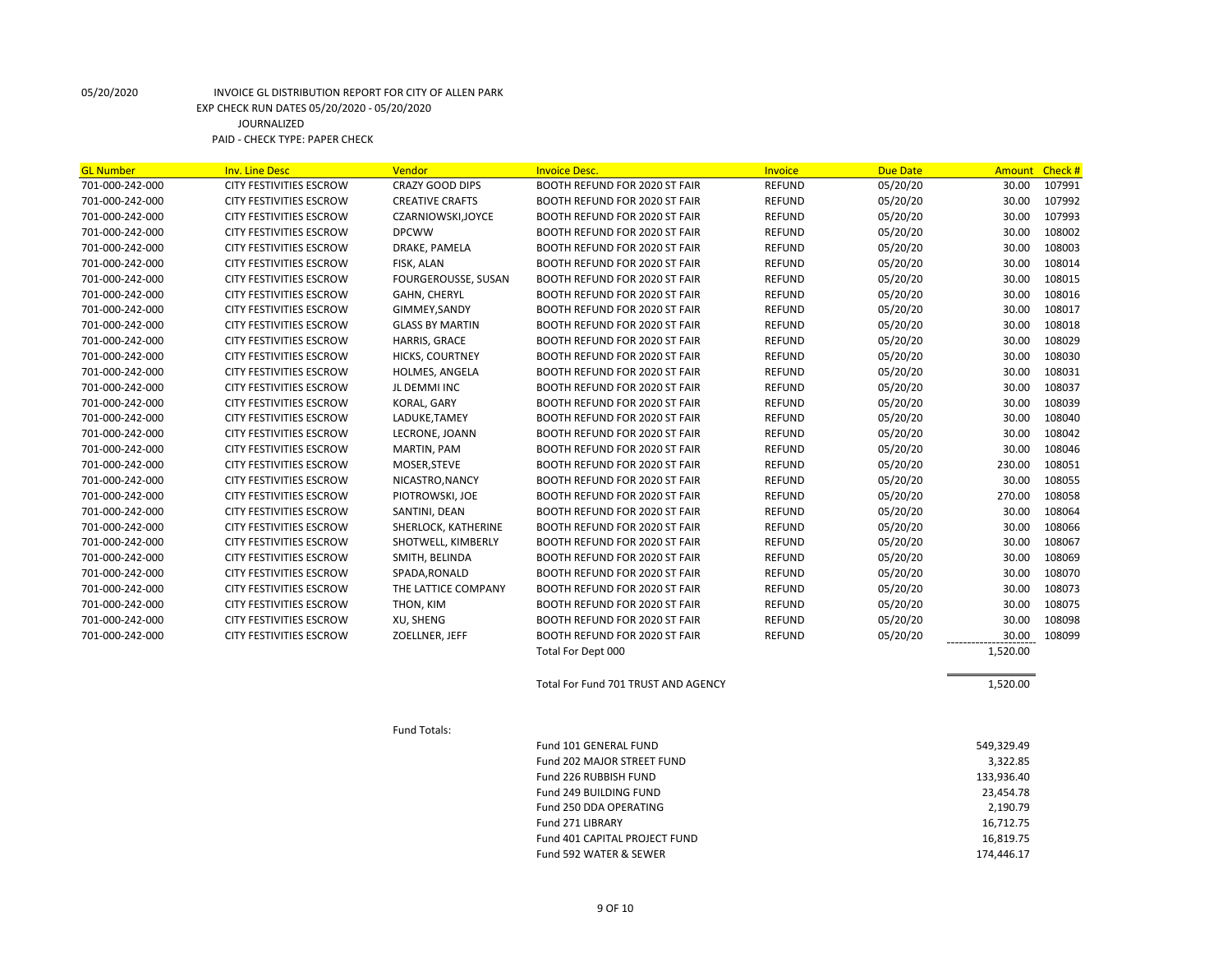| <b>GL Number</b> | <b>Inv. Line Desc</b>          | Vendor                 | <b>Invoice Desc.</b>                 | <b>Invoice</b> | <b>Due Date</b> | <b>Amount</b> | Check # |
|------------------|--------------------------------|------------------------|--------------------------------------|----------------|-----------------|---------------|---------|
| 701-000-242-000  | <b>CITY FESTIVITIES ESCROW</b> | <b>CRAZY GOOD DIPS</b> | BOOTH REFUND FOR 2020 ST FAIR        | <b>REFUND</b>  | 05/20/20        | 30.00         | 107991  |
| 701-000-242-000  | <b>CITY FESTIVITIES ESCROW</b> | <b>CREATIVE CRAFTS</b> | BOOTH REFUND FOR 2020 ST FAIR        | <b>REFUND</b>  | 05/20/20        | 30.00         | 107992  |
| 701-000-242-000  | <b>CITY FESTIVITIES ESCROW</b> | CZARNIOWSKI, JOYCE     | <b>BOOTH REFUND FOR 2020 ST FAIR</b> | <b>REFUND</b>  | 05/20/20        | 30.00         | 107993  |
| 701-000-242-000  | <b>CITY FESTIVITIES ESCROW</b> | <b>DPCWW</b>           | BOOTH REFUND FOR 2020 ST FAIR        | <b>REFUND</b>  | 05/20/20        | 30.00         | 108002  |
| 701-000-242-000  | CITY FESTIVITIES ESCROW        | DRAKE, PAMELA          | BOOTH REFUND FOR 2020 ST FAIR        | <b>REFUND</b>  | 05/20/20        | 30.00         | 108003  |
| 701-000-242-000  | <b>CITY FESTIVITIES ESCROW</b> | FISK, ALAN             | BOOTH REFUND FOR 2020 ST FAIR        | <b>REFUND</b>  | 05/20/20        | 30.00         | 108014  |
| 701-000-242-000  | <b>CITY FESTIVITIES ESCROW</b> | FOURGEROUSSE, SUSAN    | <b>BOOTH REFUND FOR 2020 ST FAIR</b> | <b>REFUND</b>  | 05/20/20        | 30.00         | 108015  |
| 701-000-242-000  | <b>CITY FESTIVITIES ESCROW</b> | GAHN, CHERYL           | <b>BOOTH REFUND FOR 2020 ST FAIR</b> | <b>REFUND</b>  | 05/20/20        | 30.00         | 108016  |
| 701-000-242-000  | <b>CITY FESTIVITIES ESCROW</b> | GIMMEY, SANDY          | <b>BOOTH REFUND FOR 2020 ST FAIR</b> | <b>REFUND</b>  | 05/20/20        | 30.00         | 108017  |
| 701-000-242-000  | <b>CITY FESTIVITIES ESCROW</b> | <b>GLASS BY MARTIN</b> | BOOTH REFUND FOR 2020 ST FAIR        | <b>REFUND</b>  | 05/20/20        | 30.00         | 108018  |
| 701-000-242-000  | <b>CITY FESTIVITIES ESCROW</b> | HARRIS, GRACE          | BOOTH REFUND FOR 2020 ST FAIR        | <b>REFUND</b>  | 05/20/20        | 30.00         | 108029  |
| 701-000-242-000  | <b>CITY FESTIVITIES ESCROW</b> | <b>HICKS, COURTNEY</b> | <b>BOOTH REFUND FOR 2020 ST FAIR</b> | <b>REFUND</b>  | 05/20/20        | 30.00         | 108030  |
| 701-000-242-000  | CITY FESTIVITIES ESCROW        | HOLMES, ANGELA         | <b>BOOTH REFUND FOR 2020 ST FAIR</b> | <b>REFUND</b>  | 05/20/20        | 30.00         | 108031  |
| 701-000-242-000  | <b>CITY FESTIVITIES ESCROW</b> | JL DEMMI INC           | BOOTH REFUND FOR 2020 ST FAIR        | <b>REFUND</b>  | 05/20/20        | 30.00         | 108037  |
| 701-000-242-000  | CITY FESTIVITIES ESCROW        | KORAL, GARY            | BOOTH REFUND FOR 2020 ST FAIR        | <b>REFUND</b>  | 05/20/20        | 30.00         | 108039  |
| 701-000-242-000  | <b>CITY FESTIVITIES ESCROW</b> | LADUKE, TAMEY          | BOOTH REFUND FOR 2020 ST FAIR        | <b>REFUND</b>  | 05/20/20        | 30.00         | 108040  |
| 701-000-242-000  | <b>CITY FESTIVITIES ESCROW</b> | LECRONE, JOANN         | BOOTH REFUND FOR 2020 ST FAIR        | <b>REFUND</b>  | 05/20/20        | 30.00         | 108042  |
| 701-000-242-000  | <b>CITY FESTIVITIES ESCROW</b> | MARTIN, PAM            | BOOTH REFUND FOR 2020 ST FAIR        | <b>REFUND</b>  | 05/20/20        | 30.00         | 108046  |
| 701-000-242-000  | <b>CITY FESTIVITIES ESCROW</b> | MOSER, STEVE           | <b>BOOTH REFUND FOR 2020 ST FAIR</b> | <b>REFUND</b>  | 05/20/20        | 230.00        | 108051  |
| 701-000-242-000  | <b>CITY FESTIVITIES ESCROW</b> | NICASTRO, NANCY        | BOOTH REFUND FOR 2020 ST FAIR        | <b>REFUND</b>  | 05/20/20        | 30.00         | 108055  |
| 701-000-242-000  | <b>CITY FESTIVITIES ESCROW</b> | PIOTROWSKI, JOE        | <b>BOOTH REFUND FOR 2020 ST FAIR</b> | <b>REFUND</b>  | 05/20/20        | 270.00        | 108058  |
| 701-000-242-000  | <b>CITY FESTIVITIES ESCROW</b> | SANTINI, DEAN          | BOOTH REFUND FOR 2020 ST FAIR        | <b>REFUND</b>  | 05/20/20        | 30.00         | 108064  |
| 701-000-242-000  | CITY FESTIVITIES ESCROW        | SHERLOCK, KATHERINE    | BOOTH REFUND FOR 2020 ST FAIR        | <b>REFUND</b>  | 05/20/20        | 30.00         | 108066  |
| 701-000-242-000  | <b>CITY FESTIVITIES ESCROW</b> | SHOTWELL, KIMBERLY     | BOOTH REFUND FOR 2020 ST FAIR        | <b>REFUND</b>  | 05/20/20        | 30.00         | 108067  |
| 701-000-242-000  | <b>CITY FESTIVITIES ESCROW</b> | SMITH, BELINDA         | BOOTH REFUND FOR 2020 ST FAIR        | <b>REFUND</b>  | 05/20/20        | 30.00         | 108069  |
| 701-000-242-000  | <b>CITY FESTIVITIES ESCROW</b> | SPADA, RONALD          | BOOTH REFUND FOR 2020 ST FAIR        | <b>REFUND</b>  | 05/20/20        | 30.00         | 108070  |
| 701-000-242-000  | <b>CITY FESTIVITIES ESCROW</b> | THE LATTICE COMPANY    | BOOTH REFUND FOR 2020 ST FAIR        | <b>REFUND</b>  | 05/20/20        | 30.00         | 108073  |
| 701-000-242-000  | <b>CITY FESTIVITIES ESCROW</b> | THON, KIM              | BOOTH REFUND FOR 2020 ST FAIR        | <b>REFUND</b>  | 05/20/20        | 30.00         | 108075  |
| 701-000-242-000  | <b>CITY FESTIVITIES ESCROW</b> | XU, SHENG              | <b>BOOTH REFUND FOR 2020 ST FAIR</b> | <b>REFUND</b>  | 05/20/20        | 30.00         | 108098  |
| 701-000-242-000  | <b>CITY FESTIVITIES ESCROW</b> | ZOELLNER, JEFF         | <b>BOOTH REFUND FOR 2020 ST FAIR</b> | <b>REFUND</b>  | 05/20/20        | 30.00         | 108099  |
|                  |                                |                        | Total For Dept 000                   |                |                 | 1,520.00      |         |
|                  |                                |                        | Total For Fund 701 TRUST AND AGENCY  |                |                 | 1,520.00      |         |
|                  |                                | Fund Totals:           |                                      |                |                 |               |         |
|                  |                                |                        | Fund 101 GENERAL FUND                |                |                 | 549,329.49    |         |
|                  |                                |                        | Fund 202 MAJOR STREET FUND           |                |                 | 3,322.85      |         |
|                  |                                |                        | Fund 226 RUBBISH FUND                |                |                 | 133,936.40    |         |

Fund 249 BUILDING FUND 23,454.78 Fund 250 DDA OPERATING 2,190.79 Fund 271 LIBRARY 16,712.75 Fund 401 CAPITAL PROJECT FUND 16,819.75 Fund 592 WATER & SEWER 174,446.17